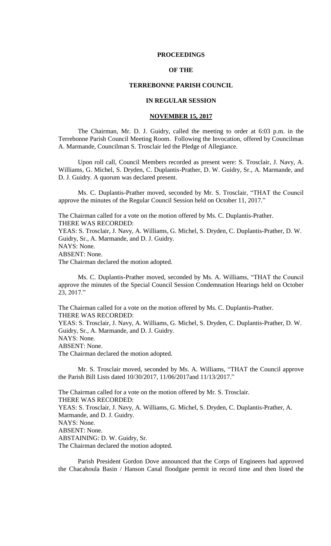### **PROCEEDINGS**

## **OF THE**

## **TERREBONNE PARISH COUNCIL**

## **IN REGULAR SESSION**

## **NOVEMBER 15, 2017**

The Chairman, Mr. D. J. Guidry, called the meeting to order at 6:03 p.m. in the Terrebonne Parish Council Meeting Room. Following the Invocation, offered by Councilman A. Marmande, Councilman S. Trosclair led the Pledge of Allegiance.

Upon roll call, Council Members recorded as present were: S. Trosclair, J. Navy, A. Williams, G. Michel, S. Dryden, C. Duplantis-Prather, D. W. Guidry, Sr., A. Marmande, and D. J. Guidry. A quorum was declared present.

Ms. C. Duplantis-Prather moved, seconded by Mr. S. Trosclair, "THAT the Council approve the minutes of the Regular Council Session held on October 11, 2017."

The Chairman called for a vote on the motion offered by Ms. C. Duplantis-Prather. THERE WAS RECORDED: YEAS: S. Trosclair, J. Navy, A. Williams, G. Michel, S. Dryden, C. Duplantis-Prather, D. W. Guidry, Sr., A. Marmande, and D. J. Guidry. NAYS: None. ABSENT: None. The Chairman declared the motion adopted.

Ms. C. Duplantis-Prather moved, seconded by Ms. A. Williams, "THAT the Council approve the minutes of the Special Council Session Condemnation Hearings held on October 23, 2017."

The Chairman called for a vote on the motion offered by Ms. C. Duplantis-Prather. THERE WAS RECORDED: YEAS: S. Trosclair, J. Navy, A. Williams, G. Michel, S. Dryden, C. Duplantis-Prather, D. W. Guidry, Sr., A. Marmande, and D. J. Guidry. NAYS: None. ABSENT: None. The Chairman declared the motion adopted.

Mr. S. Trosclair moved, seconded by Ms. A. Williams, "THAT the Council approve the Parish Bill Lists dated 10/30/2017, 11/06/2017and 11/13/2017."

The Chairman called for a vote on the motion offered by Mr. S. Trosclair. THERE WAS RECORDED: YEAS: S. Trosclair, J. Navy, A. Williams, G. Michel, S. Dryden, C. Duplantis-Prather, A. Marmande, and D. J. Guidry. NAYS: None. ABSENT: None. ABSTAINING: D. W. Guidry, Sr. The Chairman declared the motion adopted.

Parish President Gordon Dove announced that the Corps of Engineers had approved the Chacahoula Basin / Hanson Canal floodgate permit in record time and then listed the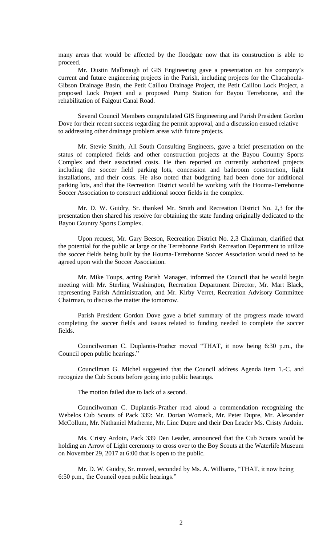many areas that would be affected by the floodgate now that its construction is able to proceed.

Mr. Dustin Malbrough of GIS Engineering gave a presentation on his company's current and future engineering projects in the Parish, including projects for the Chacahoula-Gibson Drainage Basin, the Petit Caillou Drainage Project, the Petit Caillou Lock Project, a proposed Lock Project and a proposed Pump Station for Bayou Terrebonne, and the rehabilitation of Falgout Canal Road.

Several Council Members congratulated GIS Engineering and Parish President Gordon Dove for their recent success regarding the permit approval, and a discussion ensued relative to addressing other drainage problem areas with future projects.

Mr. Stevie Smith, All South Consulting Engineers, gave a brief presentation on the status of completed fields and other construction projects at the Bayou Country Sports Complex and their associated costs. He then reported on currently authorized projects including the soccer field parking lots, concession and bathroom construction, light installations, and their costs. He also noted that budgeting had been done for additional parking lots, and that the Recreation District would be working with the Houma-Terrebonne Soccer Association to construct additional soccer fields in the complex.

Mr. D. W. Guidry, Sr. thanked Mr. Smith and Recreation District No. 2,3 for the presentation then shared his resolve for obtaining the state funding originally dedicated to the Bayou Country Sports Complex.

Upon request, Mr. Gary Beeson, Recreation District No. 2,3 Chairman, clarified that the potential for the public at large or the Terrebonne Parish Recreation Department to utilize the soccer fields being built by the Houma-Terrebonne Soccer Association would need to be agreed upon with the Soccer Association.

Mr. Mike Toups, acting Parish Manager, informed the Council that he would begin meeting with Mr. Sterling Washington, Recreation Department Director, Mr. Mart Black, representing Parish Administration, and Mr. Kirby Verret, Recreation Advisory Committee Chairman, to discuss the matter the tomorrow.

Parish President Gordon Dove gave a brief summary of the progress made toward completing the soccer fields and issues related to funding needed to complete the soccer fields.

Councilwoman C. Duplantis-Prather moved "THAT, it now being 6:30 p.m., the Council open public hearings."

Councilman G. Michel suggested that the Council address Agenda Item 1.-C. and recognize the Cub Scouts before going into public hearings.

The motion failed due to lack of a second.

Councilwoman C. Duplantis-Prather read aloud a commendation recognizing the Webelos Cub Scouts of Pack 339: Mr. Dorian Womack, Mr. Peter Dupre, Mr. Alexander McCollum, Mr. Nathaniel Matherne, Mr. Linc Dupre and their Den Leader Ms. Cristy Ardoin.

Ms. Cristy Ardoin, Pack 339 Den Leader, announced that the Cub Scouts would be holding an Arrow of Light ceremony to cross over to the Boy Scouts at the Waterlife Museum on November 29, 2017 at 6:00 that is open to the public.

Mr. D. W. Guidry, Sr. moved, seconded by Ms. A. Williams, "THAT, it now being 6:50 p.m., the Council open public hearings."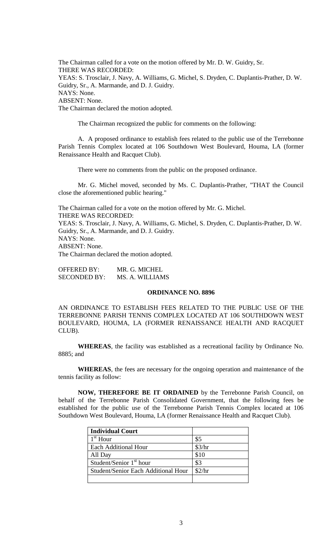The Chairman called for a vote on the motion offered by Mr. D. W. Guidry, Sr. THERE WAS RECORDED: YEAS: S. Trosclair, J. Navy, A. Williams, G. Michel, S. Dryden, C. Duplantis-Prather, D. W. Guidry, Sr., A. Marmande, and D. J. Guidry. NAYS: None. ABSENT: None. The Chairman declared the motion adopted.

The Chairman recognized the public for comments on the following:

A. A proposed ordinance to establish fees related to the public use of the Terrebonne Parish Tennis Complex located at 106 Southdown West Boulevard, Houma, LA (former Renaissance Health and Racquet Club).

There were no comments from the public on the proposed ordinance.

Mr. G. Michel moved, seconded by Ms. C. Duplantis-Prather, "THAT the Council close the aforementioned public hearing."

The Chairman called for a vote on the motion offered by Mr. G. Michel. THERE WAS RECORDED:

YEAS: S. Trosclair, J. Navy, A. Williams, G. Michel, S. Dryden, C. Duplantis-Prather, D. W. Guidry, Sr., A. Marmande, and D. J. Guidry. NAYS: None. ABSENT: None. The Chairman declared the motion adopted.

OFFERED BY: MR. G. MICHEL SECONDED BY: MS. A. WILLIAMS

#### **ORDINANCE NO. 8896**

AN ORDINANCE TO ESTABLISH FEES RELATED TO THE PUBLIC USE OF THE TERREBONNE PARISH TENNIS COMPLEX LOCATED AT 106 SOUTHDOWN WEST BOULEVARD, HOUMA, LA (FORMER RENAISSANCE HEALTH AND RACQUET CLUB).

**WHEREAS**, the facility was established as a recreational facility by Ordinance No. 8885; and

**WHEREAS**, the fees are necessary for the ongoing operation and maintenance of the tennis facility as follow:

**NOW, THEREFORE BE IT ORDAINED** by the Terrebonne Parish Council, on behalf of the Terrebonne Parish Consolidated Government, that the following fees be established for the public use of the Terrebonne Parish Tennis Complex located at 106 Southdown West Boulevard, Houma, LA (former Renaissance Health and Racquet Club).

| <b>Individual Court</b>             |        |
|-------------------------------------|--------|
| $1st$ Hour                          | \$5    |
| <b>Each Additional Hour</b>         | \$3/hr |
| All Day                             | \$10   |
| Student/Senior $1st$ hour           | \$3    |
| Student/Senior Each Additional Hour | \$2/hr |
|                                     |        |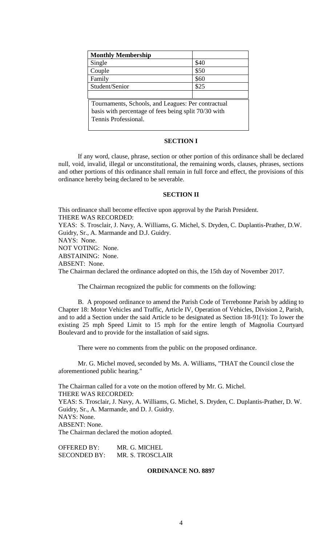| <b>Monthly Membership</b>                            |      |
|------------------------------------------------------|------|
| Single                                               | \$40 |
| Couple                                               | \$50 |
| Family                                               | \$60 |
| Student/Senior                                       | \$25 |
|                                                      |      |
| Tournaments, Schools, and Leagues: Per contractual   |      |
| basis with percentage of fees being split 70/30 with |      |
| Tennis Professional.                                 |      |
|                                                      |      |

## **SECTION I**

If any word, clause, phrase, section or other portion of this ordinance shall be declared null, void, invalid, illegal or unconstitutional, the remaining words, clauses, phrases, sections and other portions of this ordinance shall remain in full force and effect, the provisions of this ordinance hereby being declared to be severable.

## **SECTION II**

This ordinance shall become effective upon approval by the Parish President. THERE WAS RECORDED: YEAS: S. Trosclair, J. Navy, A. Williams, G. Michel, S. Dryden, C. Duplantis-Prather, D.W. Guidry, Sr., A. Marmande and D.J. Guidry. NAYS: None. NOT VOTING: None. ABSTAINING: None. ABSENT: None. The Chairman declared the ordinance adopted on this, the 15th day of November 2017.

The Chairman recognized the public for comments on the following:

B. A proposed ordinance to amend the Parish Code of Terrebonne Parish by adding to Chapter 18: Motor Vehicles and Traffic, Article IV, Operation of Vehicles, Division 2, Parish, and to add a Section under the said Article to be designated as Section 18-91(1): To lower the existing 25 mph Speed Limit to 15 mph for the entire length of Magnolia Courtyard Boulevard and to provide for the installation of said signs.

There were no comments from the public on the proposed ordinance.

Mr. G. Michel moved, seconded by Ms. A. Williams, "THAT the Council close the aforementioned public hearing."

The Chairman called for a vote on the motion offered by Mr. G. Michel. THERE WAS RECORDED: YEAS: S. Trosclair, J. Navy, A. Williams, G. Michel, S. Dryden, C. Duplantis-Prather, D. W. Guidry, Sr., A. Marmande, and D. J. Guidry. NAYS: None. ABSENT: None. The Chairman declared the motion adopted.

OFFERED BY: MR. G. MICHEL SECONDED BY: MR. S. TROSCLAIR

## **ORDINANCE NO. 8897**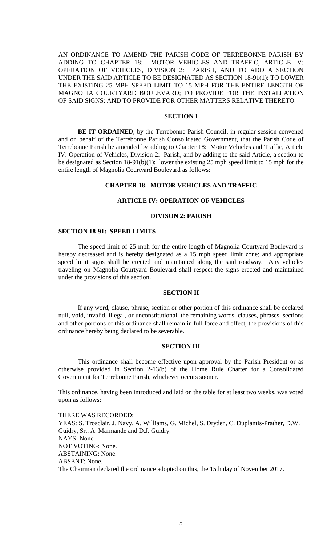AN ORDINANCE TO AMEND THE PARISH CODE OF TERREBONNE PARISH BY ADDING TO CHAPTER 18: MOTOR VEHICLES AND TRAFFIC, ARTICLE IV: OPERATION OF VEHICLES, DIVISION 2: PARISH, AND TO ADD A SECTION UNDER THE SAID ARTICLE TO BE DESIGNATED AS SECTION 18-91(1): TO LOWER THE EXISTING 25 MPH SPEED LIMIT TO 15 MPH FOR THE ENTIRE LENGTH OF MAGNOLIA COURTYARD BOULEVARD; TO PROVIDE FOR THE INSTALLATION OF SAID SIGNS; AND TO PROVIDE FOR OTHER MATTERS RELATIVE THERETO.

## **SECTION I**

BE IT ORDAINED, by the Terrebonne Parish Council, in regular session convened and on behalf of the Terrebonne Parish Consolidated Government, that the Parish Code of Terrebonne Parish be amended by adding to Chapter 18: Motor Vehicles and Traffic, Article IV: Operation of Vehicles, Division 2: Parish, and by adding to the said Article, a section to be designated as Section 18-91(b)(1): lower the existing 25 mph speed limit to 15 mph for the entire length of Magnolia Courtyard Boulevard as follows:

#### **CHAPTER 18: MOTOR VEHICLES AND TRAFFIC**

#### **ARTICLE IV: OPERATION OF VEHICLES**

## **DIVISON 2: PARISH**

### **SECTION 18-91: SPEED LIMITS**

The speed limit of 25 mph for the entire length of Magnolia Courtyard Boulevard is hereby decreased and is hereby designated as a 15 mph speed limit zone; and appropriate speed limit signs shall be erected and maintained along the said roadway. Any vehicles traveling on Magnolia Courtyard Boulevard shall respect the signs erected and maintained under the provisions of this section.

## **SECTION II**

If any word, clause, phrase, section or other portion of this ordinance shall be declared null, void, invalid, illegal, or unconstitutional, the remaining words, clauses, phrases, sections and other portions of this ordinance shall remain in full force and effect, the provisions of this ordinance hereby being declared to be severable.

## **SECTION III**

This ordinance shall become effective upon approval by the Parish President or as otherwise provided in Section 2-13(b) of the Home Rule Charter for a Consolidated Government for Terrebonne Parish, whichever occurs sooner.

This ordinance, having been introduced and laid on the table for at least two weeks, was voted upon as follows:

THERE WAS RECORDED: YEAS: S. Trosclair, J. Navy, A. Williams, G. Michel, S. Dryden, C. Duplantis-Prather, D.W. Guidry, Sr., A. Marmande and D.J. Guidry. NAYS: None. NOT VOTING: None. ABSTAINING: None. ABSENT: None.

The Chairman declared the ordinance adopted on this, the 15th day of November 2017.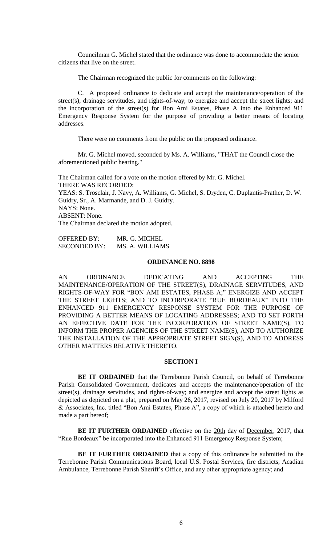Councilman G. Michel stated that the ordinance was done to accommodate the senior citizens that live on the street.

The Chairman recognized the public for comments on the following:

C. A proposed ordinance to dedicate and accept the maintenance/operation of the street(s), drainage servitudes, and rights-of-way; to energize and accept the street lights; and the incorporation of the street(s) for Bon Ami Estates, Phase A into the Enhanced 911 Emergency Response System for the purpose of providing a better means of locating addresses.

There were no comments from the public on the proposed ordinance.

Mr. G. Michel moved, seconded by Ms. A. Williams, "THAT the Council close the aforementioned public hearing."

The Chairman called for a vote on the motion offered by Mr. G. Michel. THERE WAS RECORDED: YEAS: S. Trosclair, J. Navy, A. Williams, G. Michel, S. Dryden, C. Duplantis-Prather, D. W. Guidry, Sr., A. Marmande, and D. J. Guidry. NAYS: None. ABSENT: None. The Chairman declared the motion adopted.

| <b>OFFERED BY:</b>  | MR. G. MICHEL   |
|---------------------|-----------------|
| <b>SECONDED BY:</b> | MS. A. WILLIAMS |

#### **ORDINANCE NO. 8898**

AN ORDINANCE DEDICATING AND ACCEPTING THE MAINTENANCE/OPERATION OF THE STREET(S), DRAINAGE SERVITUDES, AND RIGHTS-OF-WAY FOR "BON AMI ESTATES, PHASE A;" ENERGIZE AND ACCEPT THE STREET LIGHTS; AND TO INCORPORATE "RUE BORDEAUX" INTO THE ENHANCED 911 EMERGENCY RESPONSE SYSTEM FOR THE PURPOSE OF PROVIDING A BETTER MEANS OF LOCATING ADDRESSES; AND TO SET FORTH AN EFFECTIVE DATE FOR THE INCORPORATION OF STREET NAME(S), TO INFORM THE PROPER AGENCIES OF THE STREET NAME(S), AND TO AUTHORIZE THE INSTALLATION OF THE APPROPRIATE STREET SIGN(S), AND TO ADDRESS OTHER MATTERS RELATIVE THERETO.

# **SECTION I**

**BE IT ORDAINED** that the Terrebonne Parish Council, on behalf of Terrebonne Parish Consolidated Government, dedicates and accepts the maintenance/operation of the street(s), drainage servitudes, and rights-of-way; and energize and accept the street lights as depicted as depicted on a plat, prepared on May 26, 2017, revised on July 20, 2017 by Milford & Associates, Inc. titled "Bon Ami Estates, Phase A", a copy of which is attached hereto and made a part hereof;

**BE IT FURTHER ORDAINED** effective on the 20th day of December, 2017, that "Rue Bordeaux" be incorporated into the Enhanced 911 Emergency Response System;

**BE IT FURTHER ORDAINED** that a copy of this ordinance be submitted to the Terrebonne Parish Communications Board, local U.S. Postal Services, fire districts, Acadian Ambulance, Terrebonne Parish Sheriff's Office, and any other appropriate agency; and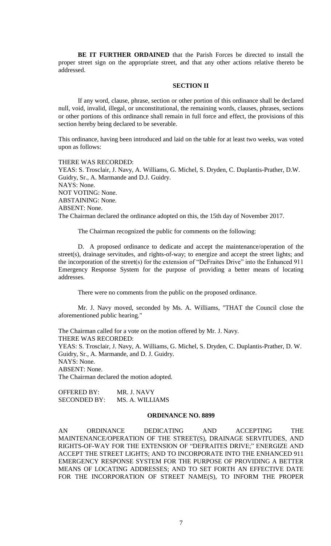**BE IT FURTHER ORDAINED** that the Parish Forces be directed to install the proper street sign on the appropriate street, and that any other actions relative thereto be addressed.

### **SECTION II**

If any word, clause, phrase, section or other portion of this ordinance shall be declared null, void, invalid, illegal, or unconstitutional, the remaining words, clauses, phrases, sections or other portions of this ordinance shall remain in full force and effect, the provisions of this section hereby being declared to be severable.

This ordinance, having been introduced and laid on the table for at least two weeks, was voted upon as follows:

THERE WAS RECORDED: YEAS: S. Trosclair, J. Navy, A. Williams, G. Michel, S. Dryden, C. Duplantis-Prather, D.W. Guidry, Sr., A. Marmande and D.J. Guidry. NAYS: None. NOT VOTING: None. ABSTAINING: None. ABSENT: None. The Chairman declared the ordinance adopted on this, the 15th day of November 2017.

The Chairman recognized the public for comments on the following:

D. A proposed ordinance to dedicate and accept the maintenance/operation of the street(s), drainage servitudes, and rights-of-way; to energize and accept the street lights; and the incorporation of the street(s) for the extension of "DeFraites Drive" into the Enhanced 911 Emergency Response System for the purpose of providing a better means of locating addresses.

There were no comments from the public on the proposed ordinance.

Mr. J. Navy moved, seconded by Ms. A. Williams, "THAT the Council close the aforementioned public hearing."

The Chairman called for a vote on the motion offered by Mr. J. Navy. THERE WAS RECORDED: YEAS: S. Trosclair, J. Navy, A. Williams, G. Michel, S. Dryden, C. Duplantis-Prather, D. W. Guidry, Sr., A. Marmande, and D. J. Guidry. NAYS: None. ABSENT: None. The Chairman declared the motion adopted.

OFFERED BY: MR. J. NAVY SECONDED BY: MS. A. WILLIAMS

## **ORDINANCE NO. 8899**

AN ORDINANCE DEDICATING AND ACCEPTING THE MAINTENANCE/OPERATION OF THE STREET(S), DRAINAGE SERVITUDES, AND RIGHTS-OF-WAY FOR THE EXTENSION OF "DEFRAITES DRIVE;" ENERGIZE AND ACCEPT THE STREET LIGHTS; AND TO INCORPORATE INTO THE ENHANCED 911 EMERGENCY RESPONSE SYSTEM FOR THE PURPOSE OF PROVIDING A BETTER MEANS OF LOCATING ADDRESSES; AND TO SET FORTH AN EFFECTIVE DATE FOR THE INCORPORATION OF STREET NAME(S), TO INFORM THE PROPER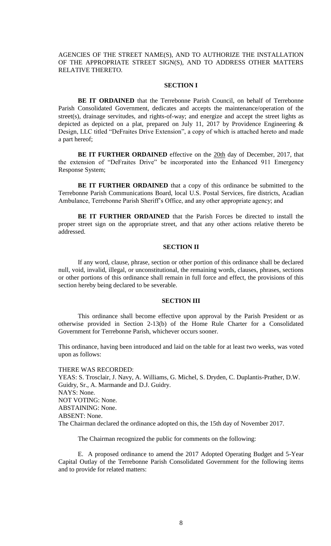AGENCIES OF THE STREET NAME(S), AND TO AUTHORIZE THE INSTALLATION OF THE APPROPRIATE STREET SIGN(S), AND TO ADDRESS OTHER MATTERS RELATIVE THERETO.

## **SECTION I**

**BE IT ORDAINED** that the Terrebonne Parish Council, on behalf of Terrebonne Parish Consolidated Government, dedicates and accepts the maintenance/operation of the street(s), drainage servitudes, and rights-of-way; and energize and accept the street lights as depicted as depicted on a plat, prepared on July 11, 2017 by Providence Engineering  $\&$ Design, LLC titled "DeFraites Drive Extension", a copy of which is attached hereto and made a part hereof;

**BE IT FURTHER ORDAINED** effective on the 20th day of December, 2017, that the extension of "DeFraites Drive" be incorporated into the Enhanced 911 Emergency Response System;

**BE IT FURTHER ORDAINED** that a copy of this ordinance be submitted to the Terrebonne Parish Communications Board, local U.S. Postal Services, fire districts, Acadian Ambulance, Terrebonne Parish Sheriff's Office, and any other appropriate agency; and

**BE IT FURTHER ORDAINED** that the Parish Forces be directed to install the proper street sign on the appropriate street, and that any other actions relative thereto be addressed.

## **SECTION II**

If any word, clause, phrase, section or other portion of this ordinance shall be declared null, void, invalid, illegal, or unconstitutional, the remaining words, clauses, phrases, sections or other portions of this ordinance shall remain in full force and effect, the provisions of this section hereby being declared to be severable.

## **SECTION III**

This ordinance shall become effective upon approval by the Parish President or as otherwise provided in Section 2-13(b) of the Home Rule Charter for a Consolidated Government for Terrebonne Parish, whichever occurs sooner.

This ordinance, having been introduced and laid on the table for at least two weeks, was voted upon as follows:

THERE WAS RECORDED: YEAS: S. Trosclair, J. Navy, A. Williams, G. Michel, S. Dryden, C. Duplantis-Prather, D.W. Guidry, Sr., A. Marmande and D.J. Guidry. NAYS: None. NOT VOTING: None. ABSTAINING: None. ABSENT: None. The Chairman declared the ordinance adopted on this, the 15th day of November 2017.

The Chairman recognized the public for comments on the following:

E. A proposed ordinance to amend the 2017 Adopted Operating Budget and 5-Year Capital Outlay of the Terrebonne Parish Consolidated Government for the following items and to provide for related matters: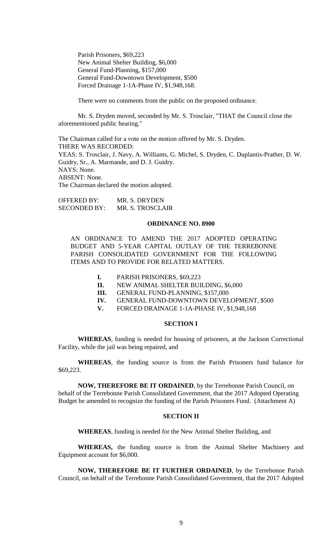Parish Prisoners, \$69,223 New Animal Shelter Building, \$6,000 General Fund-Planning, \$157,000 General Fund-Downtown Development, \$500 Forced Drainage 1-1A-Phase IV, \$1,948,168.

There were no comments from the public on the proposed ordinance.

Mr. S. Dryden moved, seconded by Mr. S. Trosclair, "THAT the Council close the aforementioned public hearing."

The Chairman called for a vote on the motion offered by Mr. S. Dryden. THERE WAS RECORDED: YEAS: S. Trosclair, J. Navy, A. Williams, G. Michel, S. Dryden, C. Duplantis-Prather, D. W. Guidry, Sr., A. Marmande, and D. J. Guidry. NAYS: None. ABSENT: None. The Chairman declared the motion adopted.

OFFERED BY: MR. S. DRYDEN SECONDED BY: MR. S. TROSCLAIR

#### **ORDINANCE NO. 8900**

AN ORDINANCE TO AMEND THE 2017 ADOPTED OPERATING BUDGET AND 5-YEAR CAPITAL OUTLAY OF THE TERREBONNE PARISH CONSOLIDATED GOVERNMENT FOR THE FOLLOWING ITEMS AND TO PROVIDE FOR RELATED MATTERS.

- **I.** PARISH PRISONERS, \$69,223
- **II.** NEW ANIMAL SHELTER BUILDING, \$6,000
- **III.** GENERAL FUND-PLANNING, \$157,000
- **IV.** GENERAL FUND-DOWNTOWN DEVELOPMENT, \$500
- **V.** FORCED DRAINAGE 1-1A-PHASE IV, \$1,948,168

## **SECTION I**

**WHEREAS**, funding is needed for housing of prisoners, at the Jackson Correctional Facility, while the jail was being repaired, and

**WHEREAS**, the funding source is from the Parish Prisoners fund balance for \$69,223.

**NOW, THEREFORE BE IT ORDAINED**, by the Terrebonne Parish Council, on behalf of the Terrebonne Parish Consolidated Government, that the 2017 Adopted Operating Budget be amended to recognize the funding of the Parish Prisoners Fund. (Attachment A)

#### **SECTION II**

**WHEREAS**, funding is needed for the New Animal Shelter Building, and

**WHEREAS,** the funding source is from the Animal Shelter Machinery and Equipment account for \$6,000.

**NOW, THEREFORE BE IT FURTHER ORDAINED**, by the Terrebonne Parish Council, on behalf of the Terrebonne Parish Consolidated Government, that the 2017 Adopted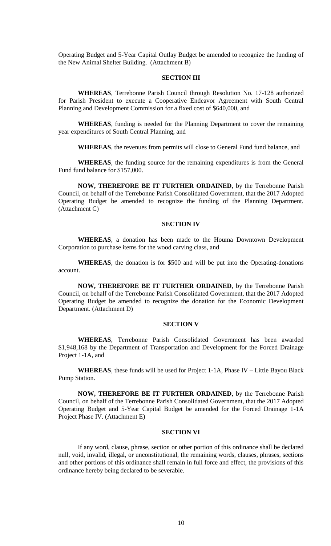Operating Budget and 5-Year Capital Outlay Budget be amended to recognize the funding of the New Animal Shelter Building. (Attachment B)

## **SECTION III**

**WHEREAS**, Terrebonne Parish Council through Resolution No. 17-128 authorized for Parish President to execute a Cooperative Endeavor Agreement with South Central Planning and Development Commission for a fixed cost of \$640,000, and

**WHEREAS**, funding is needed for the Planning Department to cover the remaining year expenditures of South Central Planning, and

**WHEREAS**, the revenues from permits will close to General Fund fund balance, and

**WHEREAS**, the funding source for the remaining expenditures is from the General Fund fund balance for \$157,000.

**NOW, THEREFORE BE IT FURTHER ORDAINED**, by the Terrebonne Parish Council, on behalf of the Terrebonne Parish Consolidated Government, that the 2017 Adopted Operating Budget be amended to recognize the funding of the Planning Department. (Attachment C)

## **SECTION IV**

**WHEREAS**, a donation has been made to the Houma Downtown Development Corporation to purchase items for the wood carving class, and

**WHEREAS**, the donation is for \$500 and will be put into the Operating-donations account.

**NOW, THEREFORE BE IT FURTHER ORDAINED**, by the Terrebonne Parish Council, on behalf of the Terrebonne Parish Consolidated Government, that the 2017 Adopted Operating Budget be amended to recognize the donation for the Economic Development Department. (Attachment D)

### **SECTION V**

**WHEREAS**, Terrebonne Parish Consolidated Government has been awarded \$1,948,168 by the Department of Transportation and Development for the Forced Drainage Project 1-1A, and

**WHEREAS**, these funds will be used for Project 1-1A, Phase IV – Little Bayou Black Pump Station.

**NOW, THEREFORE BE IT FURTHER ORDAINED**, by the Terrebonne Parish Council, on behalf of the Terrebonne Parish Consolidated Government, that the 2017 Adopted Operating Budget and 5-Year Capital Budget be amended for the Forced Drainage 1-1A Project Phase IV. (Attachment E)

## **SECTION VI**

If any word, clause, phrase, section or other portion of this ordinance shall be declared null, void, invalid, illegal, or unconstitutional, the remaining words, clauses, phrases, sections and other portions of this ordinance shall remain in full force and effect, the provisions of this ordinance hereby being declared to be severable.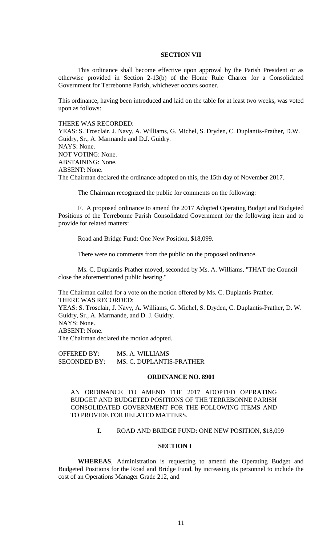## **SECTION VII**

This ordinance shall become effective upon approval by the Parish President or as otherwise provided in Section 2-13(b) of the Home Rule Charter for a Consolidated Government for Terrebonne Parish, whichever occurs sooner.

This ordinance, having been introduced and laid on the table for at least two weeks, was voted upon as follows:

## THERE WAS RECORDED:

YEAS: S. Trosclair, J. Navy, A. Williams, G. Michel, S. Dryden, C. Duplantis-Prather, D.W. Guidry, Sr., A. Marmande and D.J. Guidry. NAYS: None. NOT VOTING: None. ABSTAINING: None. ABSENT: None. The Chairman declared the ordinance adopted on this, the 15th day of November 2017.

The Chairman recognized the public for comments on the following:

F. A proposed ordinance to amend the 2017 Adopted Operating Budget and Budgeted Positions of the Terrebonne Parish Consolidated Government for the following item and to provide for related matters:

Road and Bridge Fund: One New Position, \$18,099.

There were no comments from the public on the proposed ordinance.

Ms. C. Duplantis-Prather moved, seconded by Ms. A. Williams, "THAT the Council close the aforementioned public hearing."

The Chairman called for a vote on the motion offered by Ms. C. Duplantis-Prather. THERE WAS RECORDED:

YEAS: S. Trosclair, J. Navy, A. Williams, G. Michel, S. Dryden, C. Duplantis-Prather, D. W. Guidry, Sr., A. Marmande, and D. J. Guidry. NAYS: None.

ABSENT: None.

The Chairman declared the motion adopted.

OFFERED BY: MS. A. WILLIAMS SECONDED BY: MS. C. DUPLANTIS-PRATHER

## **ORDINANCE NO. 8901**

AN ORDINANCE TO AMEND THE 2017 ADOPTED OPERATING BUDGET AND BUDGETED POSITIONS OF THE TERREBONNE PARISH CONSOLIDATED GOVERNMENT FOR THE FOLLOWING ITEMS AND TO PROVIDE FOR RELATED MATTERS.

# **I.** ROAD AND BRIDGE FUND: ONE NEW POSITION, \$18,099

## **SECTION I**

**WHEREAS**, Administration is requesting to amend the Operating Budget and Budgeted Positions for the Road and Bridge Fund, by increasing its personnel to include the cost of an Operations Manager Grade 212, and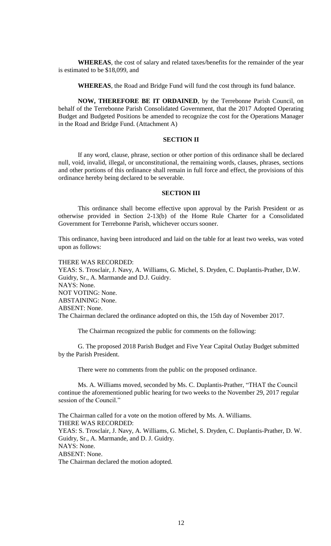**WHEREAS**, the cost of salary and related taxes/benefits for the remainder of the year is estimated to be \$18,099, and

**WHEREAS**, the Road and Bridge Fund will fund the cost through its fund balance.

**NOW, THEREFORE BE IT ORDAINED**, by the Terrebonne Parish Council, on behalf of the Terrebonne Parish Consolidated Government, that the 2017 Adopted Operating Budget and Budgeted Positions be amended to recognize the cost for the Operations Manager in the Road and Bridge Fund. (Attachment A)

## **SECTION II**

If any word, clause, phrase, section or other portion of this ordinance shall be declared null, void, invalid, illegal, or unconstitutional, the remaining words, clauses, phrases, sections and other portions of this ordinance shall remain in full force and effect, the provisions of this ordinance hereby being declared to be severable.

## **SECTION III**

This ordinance shall become effective upon approval by the Parish President or as otherwise provided in Section 2-13(b) of the Home Rule Charter for a Consolidated Government for Terrebonne Parish, whichever occurs sooner.

This ordinance, having been introduced and laid on the table for at least two weeks, was voted upon as follows:

THERE WAS RECORDED:

YEAS: S. Trosclair, J. Navy, A. Williams, G. Michel, S. Dryden, C. Duplantis-Prather, D.W. Guidry, Sr., A. Marmande and D.J. Guidry. NAYS: None. NOT VOTING: None. ABSTAINING: None. ABSENT: None. The Chairman declared the ordinance adopted on this, the 15th day of November 2017.

The Chairman recognized the public for comments on the following:

G. The proposed 2018 Parish Budget and Five Year Capital Outlay Budget submitted by the Parish President.

There were no comments from the public on the proposed ordinance.

Ms. A. Williams moved, seconded by Ms. C. Duplantis-Prather, "THAT the Council continue the aforementioned public hearing for two weeks to the November 29, 2017 regular session of the Council."

The Chairman called for a vote on the motion offered by Ms. A. Williams. THERE WAS RECORDED: YEAS: S. Trosclair, J. Navy, A. Williams, G. Michel, S. Dryden, C. Duplantis-Prather, D. W. Guidry, Sr., A. Marmande, and D. J. Guidry. NAYS: None. ABSENT: None. The Chairman declared the motion adopted.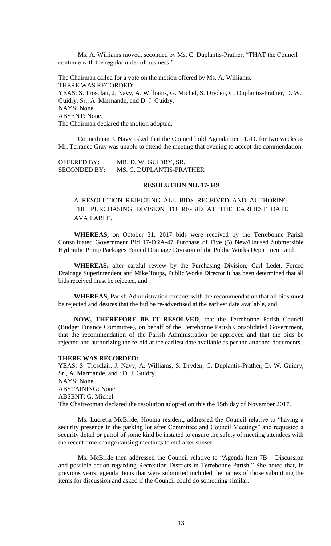Ms. A. Williams moved, seconded by Ms. C. Duplantis-Prather, "THAT the Council continue with the regular order of business."

The Chairman called for a vote on the motion offered by Ms. A. Williams. THERE WAS RECORDED: YEAS: S. Trosclair, J. Navy, A. Williams, G. Michel, S. Dryden, C. Duplantis-Prather, D. W. Guidry, Sr., A. Marmande, and D. J. Guidry. NAYS: None. ABSENT: None. The Chairman declared the motion adopted.

Councilman J. Navy asked that the Council hold Agenda Item 1.-D. for two weeks as Mr. Terrance Gray was unable to attend the meeting that evening to accept the commendation.

OFFERED BY: MR. D. W. GUIDRY, SR. SECONDED BY: MS. C. DUPLANTIS-PRATHER

#### **RESOLUTION NO. 17-349**

A RESOLUTION REJECTING ALL BIDS RECEIVED AND AUTHORING THE PURCHASING DIVISION TO RE-BID AT THE EARLIEST DATE AVAILABLE.

**WHEREAS,** on October 31, 2017 bids were received by the Terrebonne Parish Consolidated Government Bid 17-DRA-47 Purchase of Five (5) New/Unused Submersible Hydraulic Pump Packages Forced Drainage Division of the Public Works Department, and

**WHEREAS,** after careful review by the Purchasing Division, Carl Ledet, Forced Drainage Superintendent and Mike Toups, Public Works Director it has been determined that all bids received must be rejected, and

**WHEREAS,** Parish Administration concurs with the recommendation that all bids must be rejected and desires that the bid be re-advertised at the earliest date available, and

**NOW, THEREFORE BE IT RESOLVED**, that the Terrebonne Parish Council (Budget Finance Committee), on behalf of the Terrebonne Parish Consolidated Government, that the recommendation of the Parish Administration be approved and that the bids be rejected and authorizing the re-bid at the earliest date available as per the attached documents.

#### **THERE WAS RECORDED:**

YEAS: S. Trosclair, J. Navy, A. Williams, S. Dryden, C. Duplantis-Prather, D. W. Guidry, Sr., A. Marmande, and : D. J. Guidry. NAYS: None. ABSTAINING: None. ABSENT: G. Michel The Chairwoman declared the resolution adopted on this the 15th day of November 2017.

Ms. Lucretia McBride, Houma resident, addressed the Council relative to "having a security presence in the parking lot after Committee and Council Meetings" and requested a security detail or patrol of some kind be instated to ensure the safety of meeting attendees with the recent time change causing meetings to end after sunset.

Ms. McBride then addressed the Council relative to "Agenda Item 7B – Discussion and possible action regarding Recreation Districts in Terrebonne Parish." She noted that, in previous years, agenda items that were submitted included the names of those submitting the items for discussion and asked if the Council could do something similar.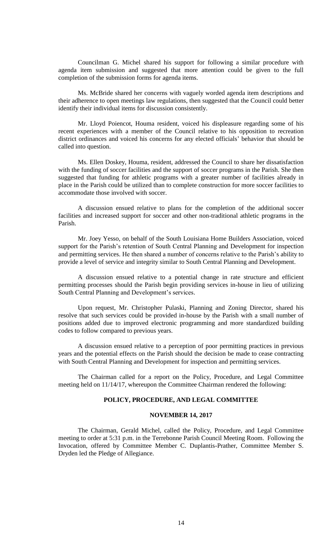Councilman G. Michel shared his support for following a similar procedure with agenda item submission and suggested that more attention could be given to the full completion of the submission forms for agenda items.

Ms. McBride shared her concerns with vaguely worded agenda item descriptions and their adherence to open meetings law regulations, then suggested that the Council could better identify their individual items for discussion consistently.

Mr. Lloyd Poiencot, Houma resident, voiced his displeasure regarding some of his recent experiences with a member of the Council relative to his opposition to recreation district ordinances and voiced his concerns for any elected officials' behavior that should be called into question.

Ms. Ellen Doskey, Houma, resident, addressed the Council to share her dissatisfaction with the funding of soccer facilities and the support of soccer programs in the Parish. She then suggested that funding for athletic programs with a greater number of facilities already in place in the Parish could be utilized than to complete construction for more soccer facilities to accommodate those involved with soccer.

A discussion ensued relative to plans for the completion of the additional soccer facilities and increased support for soccer and other non-traditional athletic programs in the Parish.

Mr. Joey Yesso, on behalf of the South Louisiana Home Builders Association, voiced support for the Parish's retention of South Central Planning and Development for inspection and permitting services. He then shared a number of concerns relative to the Parish's ability to provide a level of service and integrity similar to South Central Planning and Development.

A discussion ensued relative to a potential change in rate structure and efficient permitting processes should the Parish begin providing services in-house in lieu of utilizing South Central Planning and Development's services.

Upon request, Mr. Christopher Pulaski, Planning and Zoning Director, shared his resolve that such services could be provided in-house by the Parish with a small number of positions added due to improved electronic programming and more standardized building codes to follow compared to previous years.

A discussion ensued relative to a perception of poor permitting practices in previous years and the potential effects on the Parish should the decision be made to cease contracting with South Central Planning and Development for inspection and permitting services.

The Chairman called for a report on the Policy, Procedure, and Legal Committee meeting held on 11/14/17, whereupon the Committee Chairman rendered the following:

# **POLICY, PROCEDURE, AND LEGAL COMMITTEE**

## **NOVEMBER 14, 2017**

The Chairman, Gerald Michel, called the Policy, Procedure, and Legal Committee meeting to order at 5:31 p.m. in the Terrebonne Parish Council Meeting Room. Following the Invocation, offered by Committee Member C. Duplantis-Prather, Committee Member S. Dryden led the Pledge of Allegiance.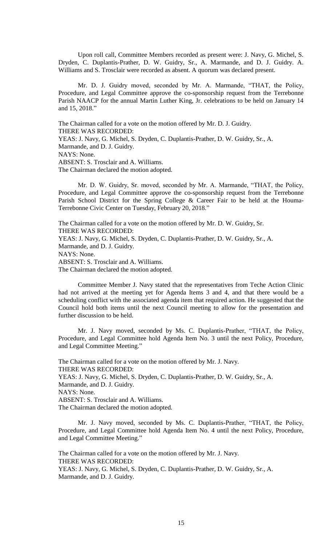Upon roll call, Committee Members recorded as present were: J. Navy, G. Michel, S. Dryden, C. Duplantis-Prather, D. W. Guidry, Sr., A. Marmande, and D. J. Guidry. A. Williams and S. Trosclair were recorded as absent. A quorum was declared present.

Mr. D. J. Guidry moved, seconded by Mr. A. Marmande, "THAT, the Policy, Procedure, and Legal Committee approve the co-sponsorship request from the Terrebonne Parish NAACP for the annual Martin Luther King, Jr. celebrations to be held on January 14 and 15, 2018."

The Chairman called for a vote on the motion offered by Mr. D. J. Guidry. THERE WAS RECORDED: YEAS: J. Navy, G. Michel, S. Dryden, C. Duplantis-Prather, D. W. Guidry, Sr., A. Marmande, and D. J. Guidry. NAYS: None. ABSENT: S. Trosclair and A. Williams. The Chairman declared the motion adopted.

Mr. D. W. Guidry, Sr. moved, seconded by Mr. A. Marmande, "THAT, the Policy, Procedure, and Legal Committee approve the co-sponsorship request from the Terrebonne Parish School District for the Spring College & Career Fair to be held at the Houma-Terrebonne Civic Center on Tuesday, February 20, 2018."

The Chairman called for a vote on the motion offered by Mr. D. W. Guidry, Sr. THERE WAS RECORDED: YEAS: J. Navy, G. Michel, S. Dryden, C. Duplantis-Prather, D. W. Guidry, Sr., A. Marmande, and D. J. Guidry. NAYS: None. ABSENT: S. Trosclair and A. Williams. The Chairman declared the motion adopted.

Committee Member J. Navy stated that the representatives from Teche Action Clinic had not arrived at the meeting yet for Agenda Items 3 and 4, and that there would be a scheduling conflict with the associated agenda item that required action. He suggested that the Council hold both items until the next Council meeting to allow for the presentation and further discussion to be held.

Mr. J. Navy moved, seconded by Ms. C. Duplantis-Prather, "THAT, the Policy, Procedure, and Legal Committee hold Agenda Item No. 3 until the next Policy, Procedure, and Legal Committee Meeting."

The Chairman called for a vote on the motion offered by Mr. J. Navy. THERE WAS RECORDED: YEAS: J. Navy, G. Michel, S. Dryden, C. Duplantis-Prather, D. W. Guidry, Sr., A. Marmande, and D. J. Guidry. NAYS: None. ABSENT: S. Trosclair and A. Williams. The Chairman declared the motion adopted.

Mr. J. Navy moved, seconded by Ms. C. Duplantis-Prather, "THAT, the Policy, Procedure, and Legal Committee hold Agenda Item No. 4 until the next Policy, Procedure, and Legal Committee Meeting."

The Chairman called for a vote on the motion offered by Mr. J. Navy. THERE WAS RECORDED: YEAS: J. Navy, G. Michel, S. Dryden, C. Duplantis-Prather, D. W. Guidry, Sr., A. Marmande, and D. J. Guidry.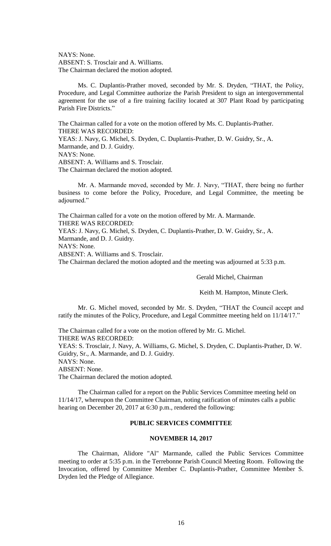NAYS: None. ABSENT: S. Trosclair and A. Williams. The Chairman declared the motion adopted.

Ms. C. Duplantis-Prather moved, seconded by Mr. S. Dryden, "THAT, the Policy, Procedure, and Legal Committee authorize the Parish President to sign an intergovernmental agreement for the use of a fire training facility located at 307 Plant Road by participating Parish Fire Districts."

The Chairman called for a vote on the motion offered by Ms. C. Duplantis-Prather. THERE WAS RECORDED: YEAS: J. Navy, G. Michel, S. Dryden, C. Duplantis-Prather, D. W. Guidry, Sr., A. Marmande, and D. J. Guidry. NAYS: None. ABSENT: A. Williams and S. Trosclair. The Chairman declared the motion adopted.

Mr. A. Marmande moved, seconded by Mr. J. Navy, "THAT, there being no further business to come before the Policy, Procedure, and Legal Committee, the meeting be adjourned."

The Chairman called for a vote on the motion offered by Mr. A. Marmande. THERE WAS RECORDED: YEAS: J. Navy, G. Michel, S. Dryden, C. Duplantis-Prather, D. W. Guidry, Sr., A. Marmande, and D. J. Guidry. NAYS: None. ABSENT: A. Williams and S. Trosclair. The Chairman declared the motion adopted and the meeting was adjourned at 5:33 p.m.

Gerald Michel, Chairman

Keith M. Hampton, Minute Clerk.

Mr. G. Michel moved, seconded by Mr. S. Dryden, "THAT the Council accept and ratify the minutes of the Policy, Procedure, and Legal Committee meeting held on 11/14/17."

The Chairman called for a vote on the motion offered by Mr. G. Michel. THERE WAS RECORDED:

YEAS: S. Trosclair, J. Navy, A. Williams, G. Michel, S. Dryden, C. Duplantis-Prather, D. W. Guidry, Sr., A. Marmande, and D. J. Guidry.

NAYS: None.

ABSENT: None.

The Chairman declared the motion adopted.

The Chairman called for a report on the Public Services Committee meeting held on 11/14/17, whereupon the Committee Chairman, noting ratification of minutes calls a public hearing on December 20, 2017 at 6:30 p.m., rendered the following:

# **PUBLIC SERVICES COMMITTEE**

## **NOVEMBER 14, 2017**

The Chairman, Alidore "Al" Marmande, called the Public Services Committee meeting to order at 5:35 p.m. in the Terrebonne Parish Council Meeting Room. Following the Invocation, offered by Committee Member C. Duplantis-Prather, Committee Member S. Dryden led the Pledge of Allegiance.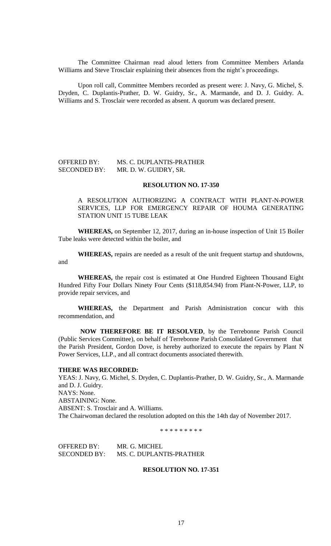The Committee Chairman read aloud letters from Committee Members Arlanda Williams and Steve Trosclair explaining their absences from the night's proceedings.

Upon roll call, Committee Members recorded as present were: J. Navy, G. Michel, S. Dryden, C. Duplantis-Prather, D. W. Guidry, Sr., A. Marmande, and D. J. Guidry. A. Williams and S. Trosclair were recorded as absent. A quorum was declared present.

# OFFERED BY: MS. C. DUPLANTIS-PRATHER SECONDED BY: MR. D. W. GUIDRY, SR.

### **RESOLUTION NO. 17-350**

# A RESOLUTION AUTHORIZING A CONTRACT WITH PLANT-N-POWER SERVICES, LLP FOR EMERGENCY REPAIR OF HOUMA GENERATING STATION UNIT 15 TUBE LEAK

**WHEREAS,** on September 12, 2017, during an in-house inspection of Unit 15 Boiler Tube leaks were detected within the boiler, and

**WHEREAS,** repairs are needed as a result of the unit frequent startup and shutdowns, and

**WHEREAS,** the repair cost is estimated at One Hundred Eighteen Thousand Eight Hundred Fifty Four Dollars Ninety Four Cents (\$118,854.94) from Plant-N-Power, LLP, to provide repair services, and

**WHEREAS,** the Department and Parish Administration concur with this recommendation, and

**NOW THEREFORE BE IT RESOLVED**, by the Terrebonne Parish Council (Public Services Committee), on behalf of Terrebonne Parish Consolidated Government that the Parish President, Gordon Dove, is hereby authorized to execute the repairs by Plant N Power Services, LLP., and all contract documents associated therewith.

#### **THERE WAS RECORDED:**

YEAS: J. Navy, G. Michel, S. Dryden, C. Duplantis-Prather, D. W. Guidry, Sr., A. Marmande and D. J. Guidry. NAYS: None. ABSTAINING: None. ABSENT: S. Trosclair and A. Williams. The Chairwoman declared the resolution adopted on this the 14th day of November 2017.

\* \* \* \* \* \* \* \* \*

OFFERED BY: MR. G. MICHEL SECONDED BY: MS. C. DUPLANTIS-PRATHER

## **RESOLUTION NO. 17-351**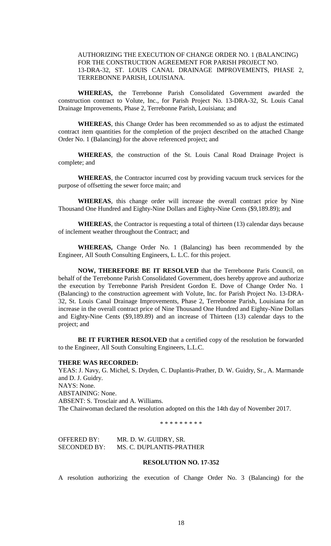# AUTHORIZING THE EXECUTION OF CHANGE ORDER NO. 1 (BALANCING) FOR THE CONSTRUCTION AGREEMENT FOR PARISH PROJECT NO. 13-DRA-32, ST. LOUIS CANAL DRAINAGE IMPROVEMENTS, PHASE 2, TERREBONNE PARISH, LOUISIANA.

**WHEREAS,** the Terrebonne Parish Consolidated Government awarded the construction contract to Volute, Inc., for Parish Project No. 13-DRA-32, St. Louis Canal Drainage Improvements, Phase 2, Terrebonne Parish, Louisiana; and

**WHEREAS**, this Change Order has been recommended so as to adjust the estimated contract item quantities for the completion of the project described on the attached Change Order No. 1 (Balancing) for the above referenced project; and

**WHEREAS**, the construction of the St. Louis Canal Road Drainage Project is complete; and

**WHEREAS**, the Contractor incurred cost by providing vacuum truck services for the purpose of offsetting the sewer force main; and

**WHEREAS**, this change order will increase the overall contract price by Nine Thousand One Hundred and Eighty-Nine Dollars and Eighty-Nine Cents (\$9,189.89); and

**WHEREAS**, the Contractor is requesting a total of thirteen (13) calendar days because of inclement weather throughout the Contract; and

**WHEREAS,** Change Order No. 1 (Balancing) has been recommended by the Engineer, All South Consulting Engineers, L. L.C. for this project.

**NOW, THEREFORE BE IT RESOLVED** that the Terrebonne Paris Council, on behalf of the Terrebonne Parish Consolidated Government, does hereby approve and authorize the execution by Terrebonne Parish President Gordon E. Dove of Change Order No. 1 (Balancing) to the construction agreement with Volute, Inc. for Parish Project No. 13-DRA-32, St. Louis Canal Drainage Improvements, Phase 2, Terrebonne Parish, Louisiana for an increase in the overall contract price of Nine Thousand One Hundred and Eighty-Nine Dollars and Eighty-Nine Cents (\$9,189.89) and an increase of Thirteen (13) calendar days to the project; and

**BE IT FURTHER RESOLVED** that a certified copy of the resolution be forwarded to the Engineer, All South Consulting Engineers, L.L.C.

#### **THERE WAS RECORDED:**

YEAS: J. Navy, G. Michel, S. Dryden, C. Duplantis-Prather, D. W. Guidry, Sr., A. Marmande and D. J. Guidry. NAYS: None. ABSTAINING: None. ABSENT: S. Trosclair and A. Williams. The Chairwoman declared the resolution adopted on this the 14th day of November 2017.

\* \* \* \* \* \* \* \* \*

OFFERED BY: MR. D. W. GUIDRY, SR. SECONDED BY: MS. C. DUPLANTIS-PRATHER

### **RESOLUTION NO. 17-352**

A resolution authorizing the execution of Change Order No. 3 (Balancing) for the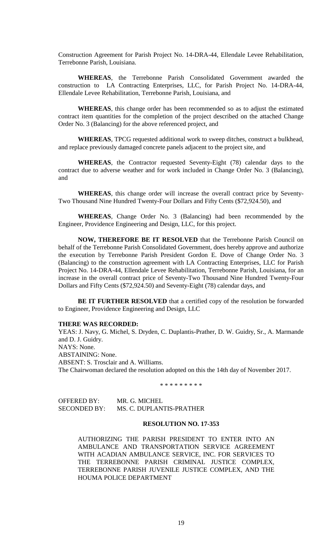Construction Agreement for Parish Project No. 14-DRA-44, Ellendale Levee Rehabilitation, Terrebonne Parish, Louisiana.

**WHEREAS**, the Terrebonne Parish Consolidated Government awarded the construction to LA Contracting Enterprises, LLC, for Parish Project No. 14-DRA-44, Ellendale Levee Rehabilitation, Terrebonne Parish, Louisiana, and

**WHEREAS**, this change order has been recommended so as to adjust the estimated contract item quantities for the completion of the project described on the attached Change Order No. 3 (Balancing) for the above referenced project, and

**WHEREAS**, TPCG requested additional work to sweep ditches, construct a bulkhead, and replace previously damaged concrete panels adjacent to the project site, and

**WHEREAS**, the Contractor requested Seventy-Eight (78) calendar days to the contract due to adverse weather and for work included in Change Order No. 3 (Balancing), and

**WHEREAS**, this change order will increase the overall contract price by Seventy-Two Thousand Nine Hundred Twenty-Four Dollars and Fifty Cents (\$72,924.50), and

**WHEREAS**, Change Order No. 3 (Balancing) had been recommended by the Engineer, Providence Engineering and Design, LLC, for this project.

**NOW, THEREFORE BE IT RESOLVED** that the Terrebonne Parish Council on behalf of the Terrebonne Parish Consolidated Government, does hereby approve and authorize the execution by Terrebonne Parish President Gordon E. Dove of Change Order No. 3 (Balancing) to the construction agreement with LA Contracting Enterprises, LLC for Parish Project No. 14-DRA-44, Ellendale Levee Rehabilitation, Terrebonne Parish, Louisiana, for an increase in the overall contract price of Seventy-Two Thousand Nine Hundred Twenty-Four Dollars and Fifty Cents (\$72,924.50) and Seventy-Eight (78) calendar days, and

**BE IT FURTHER RESOLVED** that a certified copy of the resolution be forwarded to Engineer, Providence Engineering and Design, LLC

### **THERE WAS RECORDED:**

YEAS: J. Navy, G. Michel, S. Dryden, C. Duplantis-Prather, D. W. Guidry, Sr., A. Marmande and D. J. Guidry. NAYS: None. ABSTAINING: None. ABSENT: S. Trosclair and A. Williams. The Chairwoman declared the resolution adopted on this the 14th day of November 2017.

\* \* \* \* \* \* \* \* \*

| OFFERED BY:  | MR. G. MICHEL            |
|--------------|--------------------------|
| SECONDED BY: | MS. C. DUPLANTIS-PRATHER |

#### **RESOLUTION NO. 17-353**

AUTHORIZING THE PARISH PRESIDENT TO ENTER INTO AN AMBULANCE AND TRANSPORTATION SERVICE AGREEMENT WITH ACADIAN AMBULANCE SERVICE, INC. FOR SERVICES TO THE TERREBONNE PARISH CRIMINAL JUSTICE COMPLEX, TERREBONNE PARISH JUVENILE JUSTICE COMPLEX, AND THE HOUMA POLICE DEPARTMENT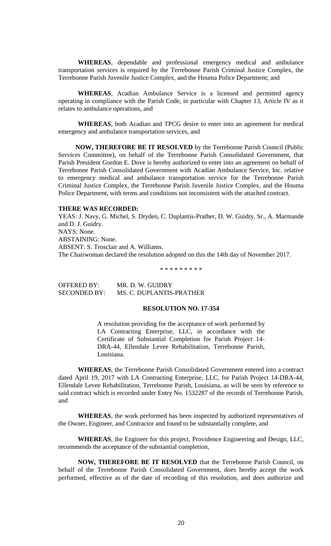**WHEREAS**, dependable and professional emergency medical and ambulance transportation services is required by the Terrebonne Parish Criminal Justice Complex, the Terrebonne Parish Juvenile Justice Complex, and the Houma Police Department; and

**WHEREAS**, Acadian Ambulance Service is a licensed and permitted agency operating in compliance with the Parish Code, in particular with Chapter 13, Article IV as it relates to ambulance operations, and

**WHEREAS**, both Acadian and TPCG desire to enter into an agreement for medical emergency and ambulance transportation services, and

**NOW, THEREFORE BE IT RESOLVED** by the Terrebonne Parish Council (Public Services Committee), on behalf of the Terrebonne Parish Consolidated Government, that Parish President Gordon E. Dove is hereby authorized to enter into an agreement on behalf of Terrebonne Parish Consolidated Government with Acadian Ambulance Service, Inc. relative to emergency medical and ambulance transportation service for the Terrebonne Parish Criminal Justice Complex, the Terrebonne Parish Juvenile Justice Complex, and the Houma Police Department, with terms and conditions not inconsistent with the attached contract.

## **THERE WAS RECORDED:**

YEAS: J. Navy, G. Michel, S. Dryden, C. Duplantis-Prather, D. W. Guidry, Sr., A. Marmande and D. J. Guidry. NAYS: None. ABSTAINING: None. ABSENT: S. Trosclair and A. Williams. The Chairwoman declared the resolution adopted on this the 14th day of November 2017.

\* \* \* \* \* \* \* \* \*

OFFERED BY: MR. D. W. GUIDRY SECONDED BY: MS. C. DUPLANTIS-PRATHER

# **RESOLUTION NO. 17-354**

A resolution providing for the acceptance of work performed by LA Contracting Enterprise, LLC, in accordance with the Certificate of Substantial Completion for Parish Project 14- DRA-44, Ellendale Levee Rehabilitation, Terrebonne Parish, Louisiana.

**WHEREAS**, the Terrebonne Parish Consolidated Government entered into a contract dated April 19, 2017 with LA Contracting Enterprise, LLC, for Parish Project 14-DRA-44, Ellendale Levee Rehabilitation, Terrebonne Parish, Louisiana, as will be seen by reference to said contract which is recorded under Entry No. 1532287 of the records of Terrebonne Parish, and

**WHEREAS**, the work performed has been inspected by authorized representatives of the Owner, Engineer, and Contractor and found to be substantially complete, and

**WHEREAS**, the Engineer for this project, Providence Engineering and Design, LLC, recommends the acceptance of the substantial completion,

**NOW, THEREFORE BE IT RESOLVED** that the Terrebonne Parish Council, on behalf of the Terrebonne Parish Consolidated Government, does hereby accept the work performed, effective as of the date of recording of this resolution, and does authorize and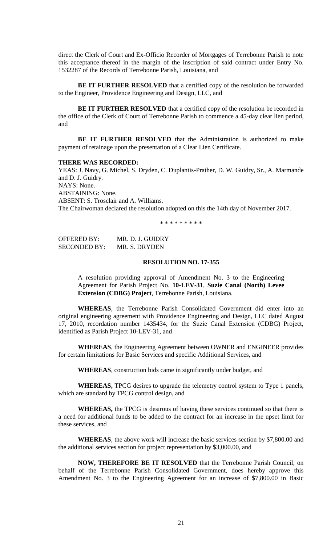direct the Clerk of Court and Ex-Officio Recorder of Mortgages of Terrebonne Parish to note this acceptance thereof in the margin of the inscription of said contract under Entry No. 1532287 of the Records of Terrebonne Parish, Louisiana, and

**BE IT FURTHER RESOLVED** that a certified copy of the resolution be forwarded to the Engineer, Providence Engineering and Design, LLC, and

**BE IT FURTHER RESOLVED** that a certified copy of the resolution be recorded in the office of the Clerk of Court of Terrebonne Parish to commence a 45-day clear lien period, and

**BE IT FURTHER RESOLVED** that the Administration is authorized to make payment of retainage upon the presentation of a Clear Lien Certificate.

#### **THERE WAS RECORDED:**

YEAS: J. Navy, G. Michel, S. Dryden, C. Duplantis-Prather, D. W. Guidry, Sr., A. Marmande and D. J. Guidry. NAYS: None. ABSTAINING: None. ABSENT: S. Trosclair and A. Williams. The Chairwoman declared the resolution adopted on this the 14th day of November 2017.

\* \* \* \* \* \* \* \* \*

| <b>OFFERED BY:</b>  | MR. D. J. GUIDRY |
|---------------------|------------------|
| <b>SECONDED BY:</b> | MR. S. DRYDEN    |

## **RESOLUTION NO. 17-355**

A resolution providing approval of Amendment No. 3 to the Engineering Agreement for Parish Project No. **10-LEV-31**, **Suzie Canal (North) Levee Extension (CDBG) Project**, Terrebonne Parish, Louisiana.

**WHEREAS**, the Terrebonne Parish Consolidated Government did enter into an original engineering agreement with Providence Engineering and Design, LLC dated August 17, 2010, recordation number 1435434, for the Suzie Canal Extension (CDBG) Project, identified as Parish Project 10-LEV-31, and

**WHEREAS**, the Engineering Agreement between OWNER and ENGINEER provides for certain limitations for Basic Services and specific Additional Services, and

**WHEREAS**, construction bids came in significantly under budget, and

**WHEREAS,** TPCG desires to upgrade the telemetry control system to Type 1 panels, which are standard by TPCG control design, and

**WHEREAS,** the TPCG is desirous of having these services continued so that there is a need for additional funds to be added to the contract for an increase in the upset limit for these services, and

**WHEREAS**, the above work will increase the basic services section by \$7,800.00 and the additional services section for project representation by \$3,000.00, and

**NOW, THEREFORE BE IT RESOLVED** that the Terrebonne Parish Council, on behalf of the Terrebonne Parish Consolidated Government, does hereby approve this Amendment No. 3 to the Engineering Agreement for an increase of \$7,800.00 in Basic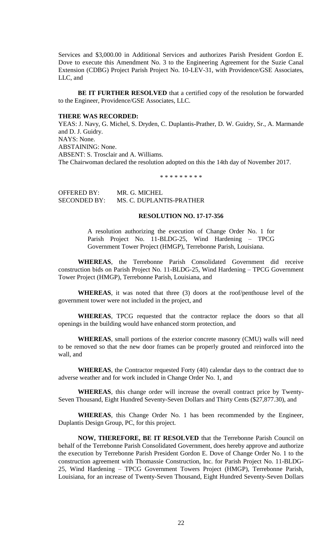Services and \$3,000.00 in Additional Services and authorizes Parish President Gordon E. Dove to execute this Amendment No. 3 to the Engineering Agreement for the Suzie Canal Extension (CDBG) Project Parish Project No. 10-LEV-31, with Providence/GSE Associates, LLC, and

**BE IT FURTHER RESOLVED** that a certified copy of the resolution be forwarded to the Engineer, Providence/GSE Associates, LLC.

#### **THERE WAS RECORDED:**

YEAS: J. Navy, G. Michel, S. Dryden, C. Duplantis-Prather, D. W. Guidry, Sr., A. Marmande and D. J. Guidry. NAYS: None. ABSTAINING: None. ABSENT: S. Trosclair and A. Williams. The Chairwoman declared the resolution adopted on this the 14th day of November 2017.

\* \* \* \* \* \* \* \* \*

OFFERED BY: MR. G. MICHEL SECONDED BY: MS. C. DUPLANTIS-PRATHER

## **RESOLUTION NO. 17-17-356**

A resolution authorizing the execution of Change Order No. 1 for Parish Project No. 11-BLDG-25, Wind Hardening – TPCG Government Tower Project (HMGP), Terrebonne Parish, Louisiana.

**WHEREAS**, the Terrebonne Parish Consolidated Government did receive construction bids on Parish Project No. 11-BLDG-25, Wind Hardening – TPCG Government Tower Project (HMGP), Terrebonne Parish, Louisiana, and

**WHEREAS**, it was noted that three (3) doors at the roof/penthouse level of the government tower were not included in the project, and

**WHEREAS**, TPCG requested that the contractor replace the doors so that all openings in the building would have enhanced storm protection, and

**WHEREAS**, small portions of the exterior concrete masonry (CMU) walls will need to be removed so that the new door frames can be properly grouted and reinforced into the wall, and

**WHEREAS**, the Contractor requested Forty (40) calendar days to the contract due to adverse weather and for work included in Change Order No. 1, and

**WHEREAS**, this change order will increase the overall contract price by Twenty-Seven Thousand, Eight Hundred Seventy-Seven Dollars and Thirty Cents (\$27,877.30), and

**WHEREAS**, this Change Order No. 1 has been recommended by the Engineer, Duplantis Design Group, PC, for this project.

**NOW, THEREFORE, BE IT RESOLVED** that the Terrebonne Parish Council on behalf of the Terrebonne Parish Consolidated Government, does hereby approve and authorize the execution by Terrebonne Parish President Gordon E. Dove of Change Order No. 1 to the construction agreement with Thomassie Construction, Inc. for Parish Project No. 11-BLDG-25, Wind Hardening – TPCG Government Towers Project (HMGP), Terrebonne Parish, Louisiana, for an increase of Twenty-Seven Thousand, Eight Hundred Seventy-Seven Dollars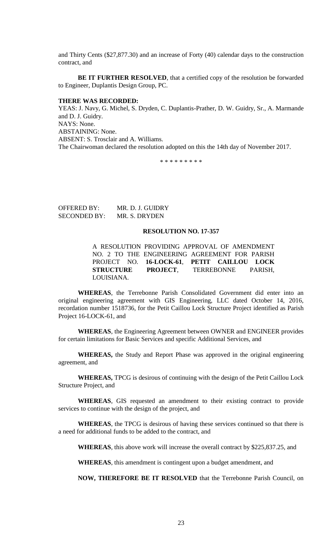and Thirty Cents (\$27,877.30) and an increase of Forty (40) calendar days to the construction contract, and

**BE IT FURTHER RESOLVED**, that a certified copy of the resolution be forwarded to Engineer, Duplantis Design Group, PC.

## **THERE WAS RECORDED:**

YEAS: J. Navy, G. Michel, S. Dryden, C. Duplantis-Prather, D. W. Guidry, Sr., A. Marmande and D. J. Guidry. NAYS: None. ABSTAINING: None. ABSENT: S. Trosclair and A. Williams. The Chairwoman declared the resolution adopted on this the 14th day of November 2017.

\* \* \* \* \* \* \* \* \*

OFFERED BY: MR. D. J. GUIDRY SECONDED BY: MR. S. DRYDEN

# **RESOLUTION NO. 17-357**

A RESOLUTION PROVIDING APPROVAL OF AMENDMENT NO. 2 TO THE ENGINEERING AGREEMENT FOR PARISH PROJECT NO. **16-LOCK-61**, **PETIT CAILLOU LOCK STRUCTURE PROJECT**, TERREBONNE PARISH, LOUISIANA.

**WHEREAS**, the Terrebonne Parish Consolidated Government did enter into an original engineering agreement with GIS Engineering, LLC dated October 14, 2016, recordation number 1518736, for the Petit Caillou Lock Structure Project identified as Parish Project 16-LOCK-61, and

**WHEREAS**, the Engineering Agreement between OWNER and ENGINEER provides for certain limitations for Basic Services and specific Additional Services, and

**WHEREAS,** the Study and Report Phase was approved in the original engineering agreement, and

**WHEREAS,** TPCG is desirous of continuing with the design of the Petit Caillou Lock Structure Project, and

**WHEREAS**, GIS requested an amendment to their existing contract to provide services to continue with the design of the project, and

**WHEREAS**, the TPCG is desirous of having these services continued so that there is a need for additional funds to be added to the contract, and

**WHEREAS**, this above work will increase the overall contract by \$225,837.25, and

**WHEREAS**, this amendment is contingent upon a budget amendment, and

**NOW, THEREFORE BE IT RESOLVED** that the Terrebonne Parish Council, on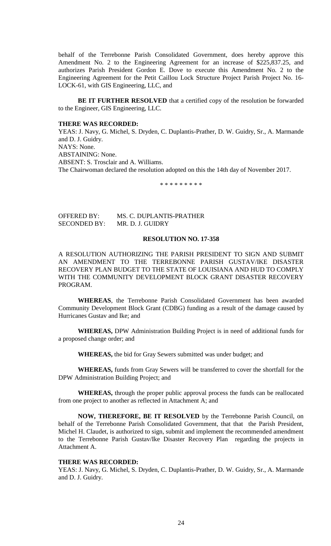behalf of the Terrebonne Parish Consolidated Government, does hereby approve this Amendment No. 2 to the Engineering Agreement for an increase of \$225,837.25, and authorizes Parish President Gordon E. Dove to execute this Amendment No. 2 to the Engineering Agreement for the Petit Caillou Lock Structure Project Parish Project No. 16- LOCK-61, with GIS Engineering, LLC, and

**BE IT FURTHER RESOLVED** that a certified copy of the resolution be forwarded to the Engineer, GIS Engineering, LLC.

## **THERE WAS RECORDED:**

YEAS: J. Navy, G. Michel, S. Dryden, C. Duplantis-Prather, D. W. Guidry, Sr., A. Marmande and D. J. Guidry. NAYS: None. ABSTAINING: None. ABSENT: S. Trosclair and A. Williams. The Chairwoman declared the resolution adopted on this the 14th day of November 2017.

\* \* \* \* \* \* \* \* \*

# OFFERED BY: MS. C. DUPLANTIS-PRATHER SECONDED BY: MR. D. J. GUIDRY

## **RESOLUTION NO. 17-358**

A RESOLUTION AUTHORIZING THE PARISH PRESIDENT TO SIGN AND SUBMIT AN AMENDMENT TO THE TERREBONNE PARISH GUSTAV/IKE DISASTER RECOVERY PLAN BUDGET TO THE STATE OF LOUISIANA AND HUD TO COMPLY WITH THE COMMUNITY DEVELOPMENT BLOCK GRANT DISASTER RECOVERY PROGRAM.

**WHEREAS**, the Terrebonne Parish Consolidated Government has been awarded Community Development Block Grant (CDBG) funding as a result of the damage caused by Hurricanes Gustav and Ike; and

**WHEREAS,** DPW Administration Building Project is in need of additional funds for a proposed change order; and

**WHEREAS,** the bid for Gray Sewers submitted was under budget; and

**WHEREAS,** funds from Gray Sewers will be transferred to cover the shortfall for the DPW Administration Building Project; and

**WHEREAS,** through the proper public approval process the funds can be reallocated from one project to another as reflected in Attachment A; and

**NOW, THEREFORE, BE IT RESOLVED** by the Terrebonne Parish Council, on behalf of the Terrebonne Parish Consolidated Government, that that the Parish President, Michel H. Claudet, is authorized to sign, submit and implement the recommended amendment to the Terrebonne Parish Gustav/Ike Disaster Recovery Plan regarding the projects in Attachment A.

#### **THERE WAS RECORDED:**

YEAS: J. Navy, G. Michel, S. Dryden, C. Duplantis-Prather, D. W. Guidry, Sr., A. Marmande and D. J. Guidry.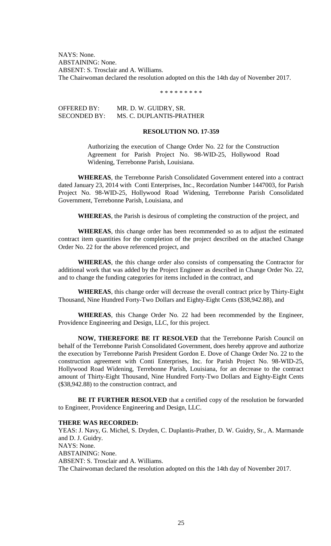NAYS: None. ABSTAINING: None. ABSENT: S. Trosclair and A. Williams. The Chairwoman declared the resolution adopted on this the 14th day of November 2017.

\* \* \* \* \* \* \* \* \*

OFFERED BY: MR. D. W. GUIDRY, SR. SECONDED BY: MS. C. DUPLANTIS-PRATHER

# **RESOLUTION NO. 17-359**

Authorizing the execution of Change Order No. 22 for the Construction Agreement for Parish Project No. 98-WID-25, Hollywood Road Widening, Terrebonne Parish, Louisiana.

**WHEREAS**, the Terrebonne Parish Consolidated Government entered into a contract dated January 23, 2014 with Conti Enterprises, Inc., Recordation Number 1447003, for Parish Project No. 98-WID-25, Hollywood Road Widening, Terrebonne Parish Consolidated Government, Terrebonne Parish, Louisiana, and

**WHEREAS**, the Parish is desirous of completing the construction of the project, and

**WHEREAS**, this change order has been recommended so as to adjust the estimated contract item quantities for the completion of the project described on the attached Change Order No. 22 for the above referenced project, and

**WHEREAS**, the this change order also consists of compensating the Contractor for additional work that was added by the Project Engineer as described in Change Order No. 22, and to change the funding categories for items included in the contract, and

**WHEREAS**, this change order will decrease the overall contract price by Thirty-Eight Thousand, Nine Hundred Forty-Two Dollars and Eighty-Eight Cents (\$38,942.88), and

**WHEREAS**, this Change Order No. 22 had been recommended by the Engineer, Providence Engineering and Design, LLC, for this project.

**NOW, THEREFORE BE IT RESOLVED** that the Terrebonne Parish Council on behalf of the Terrebonne Parish Consolidated Government, does hereby approve and authorize the execution by Terrebonne Parish President Gordon E. Dove of Change Order No. 22 to the construction agreement with Conti Enterprises, Inc. for Parish Project No. 98-WID-25, Hollywood Road Widening, Terrebonne Parish, Louisiana, for an decrease to the contract amount of Thirty-Eight Thousand, Nine Hundred Forty-Two Dollars and Eighty-Eight Cents (\$38,942.88) to the construction contract, and

**BE IT FURTHER RESOLVED** that a certified copy of the resolution be forwarded to Engineer, Providence Engineering and Design, LLC.

# **THERE WAS RECORDED:**

YEAS: J. Navy, G. Michel, S. Dryden, C. Duplantis-Prather, D. W. Guidry, Sr., A. Marmande and D. J. Guidry. NAYS: None. ABSTAINING: None. ABSENT: S. Trosclair and A. Williams. The Chairwoman declared the resolution adopted on this the 14th day of November 2017.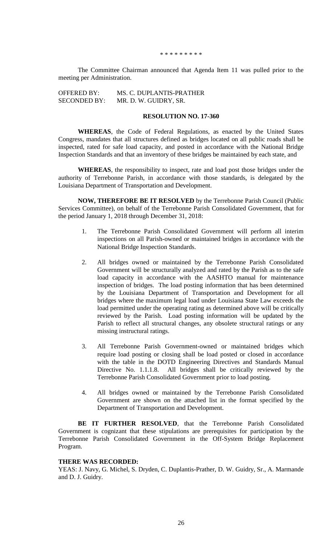#### \* \* \* \* \* \* \* \* \*

The Committee Chairman announced that Agenda Item 11 was pulled prior to the meeting per Administration.

| <b>OFFERED BY:</b>  | MS. C. DUPLANTIS-PRATHER |
|---------------------|--------------------------|
| <b>SECONDED BY:</b> | MR. D. W. GUIDRY, SR.    |

## **RESOLUTION NO. 17-360**

**WHEREAS**, the Code of Federal Regulations, as enacted by the United States Congress, mandates that all structures defined as bridges located on all public roads shall be inspected, rated for safe load capacity, and posted in accordance with the National Bridge Inspection Standards and that an inventory of these bridges be maintained by each state, and

**WHEREAS**, the responsibility to inspect, rate and load post those bridges under the authority of Terrebonne Parish, in accordance with those standards, is delegated by the Louisiana Department of Transportation and Development.

**NOW, THEREFORE BE IT RESOLVED** by the Terrebonne Parish Council (Public Services Committee), on behalf of the Terrebonne Parish Consolidated Government, that for the period January 1, 2018 through December 31, 2018:

- 1. The Terrebonne Parish Consolidated Government will perform all interim inspections on all Parish-owned or maintained bridges in accordance with the National Bridge Inspection Standards.
- 2. All bridges owned or maintained by the Terrebonne Parish Consolidated Government will be structurally analyzed and rated by the Parish as to the safe load capacity in accordance with the AASHTO manual for maintenance inspection of bridges. The load posting information that has been determined by the Louisiana Department of Transportation and Development for all bridges where the maximum legal load under Louisiana State Law exceeds the load permitted under the operating rating as determined above will be critically reviewed by the Parish. Load posting information will be updated by the Parish to reflect all structural changes, any obsolete structural ratings or any missing instructural ratings.
- 3. All Terrebonne Parish Government-owned or maintained bridges which require load posting or closing shall be load posted or closed in accordance with the table in the DOTD Engineering Directives and Standards Manual Directive No. 1.1.1.8. All bridges shall be critically reviewed by the Terrebonne Parish Consolidated Government prior to load posting.
- 4. All bridges owned or maintained by the Terrebonne Parish Consolidated Government are shown on the attached list in the format specified by the Department of Transportation and Development.

**BE IT FURTHER RESOLVED**, that the Terrebonne Parish Consolidated Government is cognizant that these stipulations are prerequisites for participation by the Terrebonne Parish Consolidated Government in the Off-System Bridge Replacement Program.

## **THERE WAS RECORDED:**

YEAS: J. Navy, G. Michel, S. Dryden, C. Duplantis-Prather, D. W. Guidry, Sr., A. Marmande and D. J. Guidry.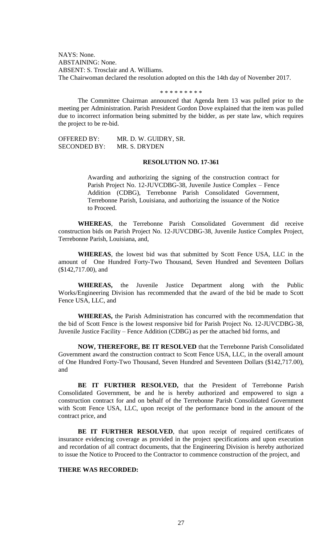NAYS: None. ABSTAINING: None. ABSENT: S. Trosclair and A. Williams. The Chairwoman declared the resolution adopted on this the 14th day of November 2017.

#### \* \* \* \* \* \* \* \* \*

The Committee Chairman announced that Agenda Item 13 was pulled prior to the meeting per Administration. Parish President Gordon Dove explained that the item was pulled due to incorrect information being submitted by the bidder, as per state law, which requires the project to be re-bid.

OFFERED BY: MR. D. W. GUIDRY, SR. SECONDED BY: MR. S. DRYDEN

## **RESOLUTION NO. 17-361**

Awarding and authorizing the signing of the construction contract for Parish Project No. 12-JUVCDBG-38, Juvenile Justice Complex – Fence Addition (CDBG), Terrebonne Parish Consolidated Government, Terrebonne Parish, Louisiana, and authorizing the issuance of the Notice to Proceed.

**WHEREAS**, the Terrebonne Parish Consolidated Government did receive construction bids on Parish Project No. 12-JUVCDBG-38, Juvenile Justice Complex Project, Terrebonne Parish, Louisiana, and,

**WHEREAS**, the lowest bid was that submitted by Scott Fence USA, LLC in the amount of One Hundred Forty-Two Thousand, Seven Hundred and Seventeen Dollars (\$142,717.00), and

**WHEREAS,** the Juvenile Justice Department along with the Public Works/Engineering Division has recommended that the award of the bid be made to Scott Fence USA, LLC, and

**WHEREAS,** the Parish Administration has concurred with the recommendation that the bid of Scott Fence is the lowest responsive bid for Parish Project No. 12-JUVCDBG-38, Juvenile Justice Facility – Fence Addition (CDBG) as per the attached bid forms, and

**NOW, THEREFORE, BE IT RESOLVED** that the Terrebonne Parish Consolidated Government award the construction contract to Scott Fence USA, LLC, in the overall amount of One Hundred Forty-Two Thousand, Seven Hundred and Seventeen Dollars (\$142,717.00), and

**BE IT FURTHER RESOLVED,** that the President of Terrebonne Parish Consolidated Government, be and he is hereby authorized and empowered to sign a construction contract for and on behalf of the Terrebonne Parish Consolidated Government with Scott Fence USA, LLC, upon receipt of the performance bond in the amount of the contract price, and

BE IT FURTHER RESOLVED, that upon receipt of required certificates of insurance evidencing coverage as provided in the project specifications and upon execution and recordation of all contract documents, that the Engineering Division is hereby authorized to issue the Notice to Proceed to the Contractor to commence construction of the project, and

## **THERE WAS RECORDED:**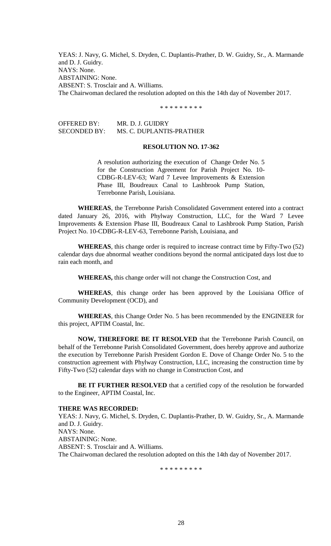YEAS: J. Navy, G. Michel, S. Dryden, C. Duplantis-Prather, D. W. Guidry, Sr., A. Marmande and D. J. Guidry. NAYS: None. ABSTAINING: None. ABSENT: S. Trosclair and A. Williams. The Chairwoman declared the resolution adopted on this the 14th day of November 2017.

\* \* \* \* \* \* \* \* \*

OFFERED BY: MR. D. J. GUIDRY SECONDED BY: MS. C. DUPLANTIS-PRATHER

# **RESOLUTION NO. 17-362**

A resolution authorizing the execution of Change Order No. 5 for the Construction Agreement for Parish Project No. 10- CDBG-R-LEV-63; Ward 7 Levee Improvements & Extension Phase III, Boudreaux Canal to Lashbrook Pump Station, Terrebonne Parish, Louisiana.

**WHEREAS**, the Terrebonne Parish Consolidated Government entered into a contract dated January 26, 2016, with Phylway Construction, LLC, for the Ward 7 Levee Improvements & Extension Phase III, Boudreaux Canal to Lashbrook Pump Station, Parish Project No. 10-CDBG-R-LEV-63, Terrebonne Parish, Louisiana, and

**WHEREAS**, this change order is required to increase contract time by Fifty-Two (52) calendar days due abnormal weather conditions beyond the normal anticipated days lost due to rain each month, and

**WHEREAS,** this change order will not change the Construction Cost, and

**WHEREAS**, this change order has been approved by the Louisiana Office of Community Development (OCD), and

**WHEREAS**, this Change Order No. 5 has been recommended by the ENGINEER for this project, APTIM Coastal, Inc.

**NOW, THEREFORE BE IT RESOLVED** that the Terrebonne Parish Council, on behalf of the Terrebonne Parish Consolidated Government, does hereby approve and authorize the execution by Terrebonne Parish President Gordon E. Dove of Change Order No. 5 to the construction agreement with Phylway Construction, LLC, increasing the construction time by Fifty-Two (52) calendar days with no change in Construction Cost, and

**BE IT FURTHER RESOLVED** that a certified copy of the resolution be forwarded to the Engineer, APTIM Coastal, Inc.

#### **THERE WAS RECORDED:**

YEAS: J. Navy, G. Michel, S. Dryden, C. Duplantis-Prather, D. W. Guidry, Sr., A. Marmande and D. J. Guidry. NAYS: None. ABSTAINING: None. ABSENT: S. Trosclair and A. Williams. The Chairwoman declared the resolution adopted on this the 14th day of November 2017.

\* \* \* \* \* \* \* \* \*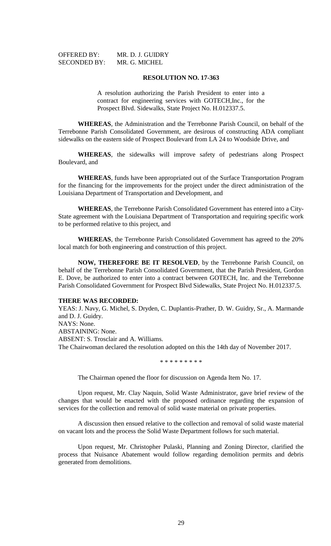| <b>OFFERED BY:</b>  |  |
|---------------------|--|
| <b>SECONDED BY:</b> |  |

MR. D. J. GUIDRY MR. G. MICHEL

## **RESOLUTION NO. 17-363**

A resolution authorizing the Parish President to enter into a contract for engineering services with GOTECH,Inc., for the Prospect Blvd. Sidewalks, State Project No. H.012337.5.

**WHEREAS**, the Administration and the Terrebonne Parish Council, on behalf of the Terrebonne Parish Consolidated Government, are desirous of constructing ADA compliant sidewalks on the eastern side of Prospect Boulevard from LA 24 to Woodside Drive, and

**WHEREAS**, the sidewalks will improve safety of pedestrians along Prospect Boulevard, and

**WHEREAS**, funds have been appropriated out of the Surface Transportation Program for the financing for the improvements for the project under the direct administration of the Louisiana Department of Transportation and Development, and

**WHEREAS**, the Terrebonne Parish Consolidated Government has entered into a City-State agreement with the Louisiana Department of Transportation and requiring specific work to be performed relative to this project, and

**WHEREAS**, the Terrebonne Parish Consolidated Government has agreed to the 20% local match for both engineering and construction of this project.

**NOW, THEREFORE BE IT RESOLVED**, by the Terrebonne Parish Council, on behalf of the Terrebonne Parish Consolidated Government, that the Parish President, Gordon E. Dove, be authorized to enter into a contract between GOTECH, Inc. and the Terrebonne Parish Consolidated Government for Prospect Blvd Sidewalks, State Project No. H.012337.5.

## **THERE WAS RECORDED:**

YEAS: J. Navy, G. Michel, S. Dryden, C. Duplantis-Prather, D. W. Guidry, Sr., A. Marmande and D. J. Guidry. NAYS: None. ABSTAINING: None. ABSENT: S. Trosclair and A. Williams. The Chairwoman declared the resolution adopted on this the 14th day of November 2017.

\* \* \* \* \* \* \* \* \*

The Chairman opened the floor for discussion on Agenda Item No. 17.

Upon request, Mr. Clay Naquin, Solid Waste Administrator, gave brief review of the changes that would be enacted with the proposed ordinance regarding the expansion of services for the collection and removal of solid waste material on private properties.

A discussion then ensued relative to the collection and removal of solid waste material on vacant lots and the process the Solid Waste Department follows for such material.

Upon request, Mr. Christopher Pulaski, Planning and Zoning Director, clarified the process that Nuisance Abatement would follow regarding demolition permits and debris generated from demolitions.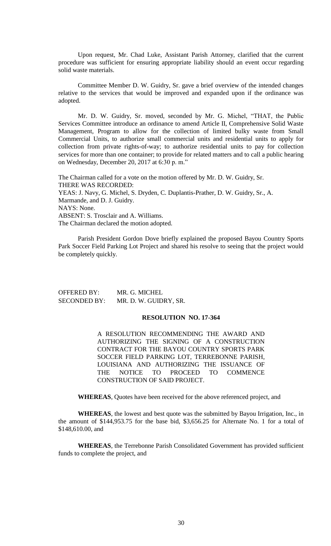Upon request, Mr. Chad Luke, Assistant Parish Attorney, clarified that the current procedure was sufficient for ensuring appropriate liability should an event occur regarding solid waste materials.

Committee Member D. W. Guidry, Sr. gave a brief overview of the intended changes relative to the services that would be improved and expanded upon if the ordinance was adopted.

Mr. D. W. Guidry, Sr. moved, seconded by Mr. G. Michel, "THAT, the Public Services Committee introduce an ordinance to amend Article II, Comprehensive Solid Waste Management, Program to allow for the collection of limited bulky waste from Small Commercial Units, to authorize small commercial units and residential units to apply for collection from private rights-of-way; to authorize residential units to pay for collection services for more than one container; to provide for related matters and to call a public hearing on Wednesday, December 20, 2017 at 6:30 p. m."

The Chairman called for a vote on the motion offered by Mr. D. W. Guidry, Sr. THERE WAS RECORDED: YEAS: J. Navy, G. Michel, S. Dryden, C. Duplantis-Prather, D. W. Guidry, Sr., A. Marmande, and D. J. Guidry. NAYS: None. ABSENT: S. Trosclair and A. Williams. The Chairman declared the motion adopted.

Parish President Gordon Dove briefly explained the proposed Bayou Country Sports Park Soccer Field Parking Lot Project and shared his resolve to seeing that the project would be completely quickly.

OFFERED BY: MR. G. MICHEL SECONDED BY: MR. D. W. GUIDRY, SR.

# **RESOLUTION NO. 17-364**

A RESOLUTION RECOMMENDING THE AWARD AND AUTHORIZING THE SIGNING OF A CONSTRUCTION CONTRACT FOR THE BAYOU COUNTRY SPORTS PARK SOCCER FIELD PARKING LOT, TERREBONNE PARISH, LOUISIANA AND AUTHORIZING THE ISSUANCE OF THE NOTICE TO PROCEED TO COMMENCE CONSTRUCTION OF SAID PROJECT.

**WHEREAS**, Quotes have been received for the above referenced project, and

**WHEREAS**, the lowest and best quote was the submitted by Bayou Irrigation, Inc., in the amount of \$144,953.75 for the base bid, \$3,656.25 for Alternate No. 1 for a total of \$148,610,00, and

**WHEREAS**, the Terrebonne Parish Consolidated Government has provided sufficient funds to complete the project, and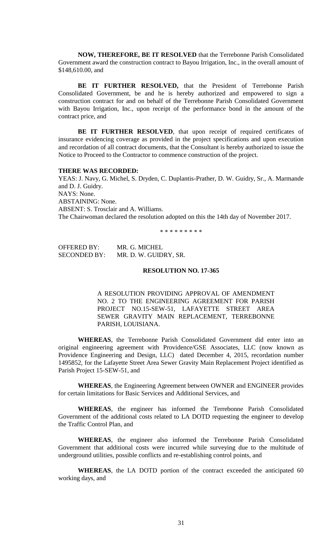**NOW, THEREFORE, BE IT RESOLVED** that the Terrebonne Parish Consolidated Government award the construction contract to Bayou Irrigation, Inc., in the overall amount of \$148,610.00, and

**BE IT FURTHER RESOLVED,** that the President of Terrebonne Parish Consolidated Government, be and he is hereby authorized and empowered to sign a construction contract for and on behalf of the Terrebonne Parish Consolidated Government with Bayou Irrigation, Inc., upon receipt of the performance bond in the amount of the contract price, and

**BE IT FURTHER RESOLVED**, that upon receipt of required certificates of insurance evidencing coverage as provided in the project specifications and upon execution and recordation of all contract documents, that the Consultant is hereby authorized to issue the Notice to Proceed to the Contractor to commence construction of the project.

### **THERE WAS RECORDED:**

YEAS: J. Navy, G. Michel, S. Dryden, C. Duplantis-Prather, D. W. Guidry, Sr., A. Marmande and D. J. Guidry. NAYS: None. ABSTAINING: None. ABSENT: S. Trosclair and A. Williams. The Chairwoman declared the resolution adopted on this the 14th day of November 2017.

\* \* \* \* \* \* \* \* \*

OFFERED BY: MR. G. MICHEL SECONDED BY: MR. D. W. GUIDRY, SR.

# **RESOLUTION NO. 17-365**

A RESOLUTION PROVIDING APPROVAL OF AMENDMENT NO. 2 TO THE ENGINEERING AGREEMENT FOR PARISH PROJECT NO.15-SEW-51, LAFAYETTE STREET AREA SEWER GRAVITY MAIN REPLACEMENT, TERREBONNE PARISH, LOUISIANA.

**WHEREAS**, the Terrebonne Parish Consolidated Government did enter into an original engineering agreement with Providence/GSE Associates, LLC (now known as Providence Engineering and Design, LLC) dated December 4, 2015, recordation number 1495852, for the Lafayette Street Area Sewer Gravity Main Replacement Project identified as Parish Project 15-SEW-51, and

**WHEREAS**, the Engineering Agreement between OWNER and ENGINEER provides for certain limitations for Basic Services and Additional Services, and

**WHEREAS**, the engineer has informed the Terrebonne Parish Consolidated Government of the additional costs related to LA DOTD requesting the engineer to develop the Traffic Control Plan, and

**WHEREAS**, the engineer also informed the Terrebonne Parish Consolidated Government that additional costs were incurred while surveying due to the multitude of underground utilities, possible conflicts and re-establishing control points, and

**WHEREAS**, the LA DOTD portion of the contract exceeded the anticipated 60 working days, and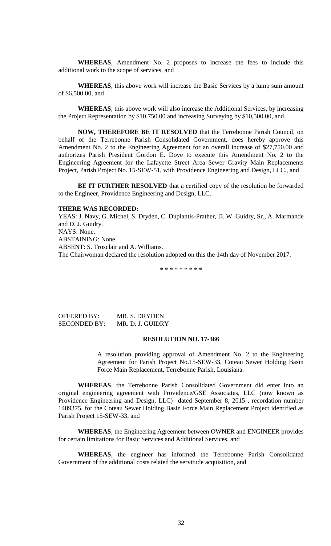**WHEREAS**, Amendment No. 2 proposes to increase the fees to include this additional work to the scope of services, and

**WHEREAS**, this above work will increase the Basic Services by a lump sum amount of \$6,500.00, and

**WHEREAS**, this above work will also increase the Additional Services, by increasing the Project Representation by \$10,750.00 and increasing Surveying by \$10,500.00, and

**NOW, THEREFORE BE IT RESOLVED** that the Terrebonne Parish Council, on behalf of the Terrebonne Parish Consolidated Government, does hereby approve this Amendment No. 2 to the Engineering Agreement for an overall increase of \$27,750.00 and authorizes Parish President Gordon E. Dove to execute this Amendment No. 2 to the Engineering Agreement for the Lafayette Street Area Sewer Gravity Main Replacements Project, Parish Project No. 15-SEW-51, with Providence Engineering and Design, LLC., and

**BE IT FURTHER RESOLVED** that a certified copy of the resolution be forwarded to the Engineer, Providence Engineering and Design, LLC.

#### **THERE WAS RECORDED:**

YEAS: J. Navy, G. Michel, S. Dryden, C. Duplantis-Prather, D. W. Guidry, Sr., A. Marmande and D. J. Guidry. NAYS: None. ABSTAINING: None. ABSENT: S. Trosclair and A. Williams. The Chairwoman declared the resolution adopted on this the 14th day of November 2017.

\* \* \* \* \* \* \* \* \*

| OFFERED BY:  | MR. S. DRYDEN    |
|--------------|------------------|
| SECONDED BY: | MR. D. J. GUIDRY |

## **RESOLUTION NO. 17-366**

A resolution providing approval of Amendment No. 2 to the Engineering Agreement for Parish Project No.15-SEW-33, Coteau Sewer Holding Basin Force Main Replacement, Terrebonne Parish, Louisiana.

**WHEREAS**, the Terrebonne Parish Consolidated Government did enter into an original engineering agreement with Providence/GSE Associates, LLC (now known as Providence Engineering and Design, LLC) dated September 8, 2015 , recordation number 1489375, for the Coteau Sewer Holding Basin Force Main Replacement Project identified as Parish Project 15-SEW-33, and

**WHEREAS**, the Engineering Agreement between OWNER and ENGINEER provides for certain limitations for Basic Services and Additional Services, and

**WHEREAS**, the engineer has informed the Terrebonne Parish Consolidated Government of the additional costs related the servitude acquisition, and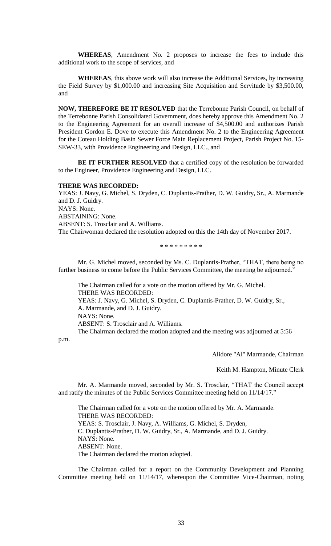**WHEREAS**, Amendment No. 2 proposes to increase the fees to include this additional work to the scope of services, and

**WHEREAS**, this above work will also increase the Additional Services, by increasing the Field Survey by \$1,000.00 and increasing Site Acquisition and Servitude by \$3,500.00, and

**NOW, THEREFORE BE IT RESOLVED** that the Terrebonne Parish Council, on behalf of the Terrebonne Parish Consolidated Government, does hereby approve this Amendment No. 2 to the Engineering Agreement for an overall increase of \$4,500.00 and authorizes Parish President Gordon E. Dove to execute this Amendment No. 2 to the Engineering Agreement for the Coteau Holding Basin Sewer Force Main Replacement Project, Parish Project No. 15- SEW-33, with Providence Engineering and Design, LLC., and

**BE IT FURTHER RESOLVED** that a certified copy of the resolution be forwarded to the Engineer, Providence Engineering and Design, LLC.

#### **THERE WAS RECORDED:**

YEAS: J. Navy, G. Michel, S. Dryden, C. Duplantis-Prather, D. W. Guidry, Sr., A. Marmande and D. J. Guidry. NAYS: None. ABSTAINING: None. ABSENT: S. Trosclair and A. Williams. The Chairwoman declared the resolution adopted on this the 14th day of November 2017.

\* \* \* \* \* \* \* \* \*

Mr. G. Michel moved, seconded by Ms. C. Duplantis-Prather, "THAT, there being no further business to come before the Public Services Committee, the meeting be adjourned."

The Chairman called for a vote on the motion offered by Mr. G. Michel. THERE WAS RECORDED: YEAS: J. Navy, G. Michel, S. Dryden, C. Duplantis-Prather, D. W. Guidry, Sr., A. Marmande, and D. J. Guidry. NAYS: None. ABSENT: S. Trosclair and A. Williams. The Chairman declared the motion adopted and the meeting was adjourned at 5:56

p.m.

Alidore "Al" Marmande, Chairman

Keith M. Hampton, Minute Clerk

Mr. A. Marmande moved, seconded by Mr. S. Trosclair, "THAT the Council accept and ratify the minutes of the Public Services Committee meeting held on 11/14/17."

The Chairman called for a vote on the motion offered by Mr. A. Marmande. THERE WAS RECORDED: YEAS: S. Trosclair, J. Navy, A. Williams, G. Michel, S. Dryden, C. Duplantis-Prather, D. W. Guidry, Sr., A. Marmande, and D. J. Guidry. NAYS: None. ABSENT: None. The Chairman declared the motion adopted.

The Chairman called for a report on the Community Development and Planning Committee meeting held on 11/14/17, whereupon the Committee Vice-Chairman, noting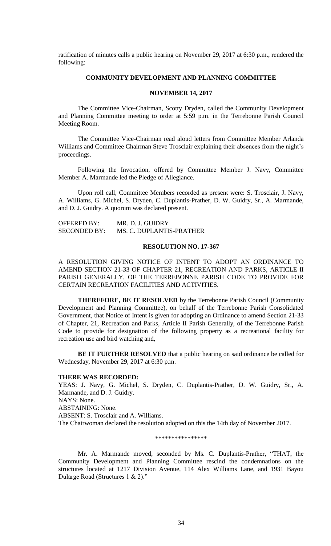ratification of minutes calls a public hearing on November 29, 2017 at 6:30 p.m., rendered the following:

# **COMMUNITY DEVELOPMENT AND PLANNING COMMITTEE**

## **NOVEMBER 14, 2017**

The Committee Vice-Chairman, Scotty Dryden, called the Community Development and Planning Committee meeting to order at 5:59 p.m. in the Terrebonne Parish Council Meeting Room.

The Committee Vice-Chairman read aloud letters from Committee Member Arlanda Williams and Committee Chairman Steve Trosclair explaining their absences from the night's proceedings.

Following the Invocation, offered by Committee Member J. Navy, Committee Member A. Marmande led the Pledge of Allegiance.

Upon roll call, Committee Members recorded as present were: S. Trosclair, J. Navy, A. Williams, G. Michel, S. Dryden, C. Duplantis-Prather, D. W. Guidry, Sr., A. Marmande, and D. J. Guidry. A quorum was declared present.

| <b>OFFERED BY:</b>  | MR. D. J. GUIDRY         |
|---------------------|--------------------------|
| <b>SECONDED BY:</b> | MS. C. DUPLANTIS-PRATHER |

## **RESOLUTION NO. 17-367**

A RESOLUTION GIVING NOTICE OF INTENT TO ADOPT AN ORDINANCE TO AMEND SECTION 21-33 OF CHAPTER 21, RECREATION AND PARKS, ARTICLE II PARISH GENERALLY, OF THE TERREBONNE PARISH CODE TO PROVIDE FOR CERTAIN RECREATION FACILITIES AND ACTIVITIES.

**THEREFORE, BE IT RESOLVED** by the Terrebonne Parish Council (Community Development and Planning Committee), on behalf of the Terrebonne Parish Consolidated Government, that Notice of Intent is given for adopting an Ordinance to amend Section 21-33 of Chapter, 21, Recreation and Parks, Article II Parish Generally, of the Terrebonne Parish Code to provide for designation of the following property as a recreational facility for recreation use and bird watching and,

**BE IT FURTHER RESOLVED** that a public hearing on said ordinance be called for Wednesday, November 29, 2017 at 6:30 p.m.

### **THERE WAS RECORDED:**

YEAS: J. Navy, G. Michel, S. Dryden, C. Duplantis-Prather, D. W. Guidry, Sr., A. Marmande, and D. J. Guidry. NAYS: None. ABSTAINING: None. ABSENT: S. Trosclair and A. Williams. The Chairwoman declared the resolution adopted on this the 14th day of November 2017.

\*\*\*\*\*\*\*\*\*\*\*\*\*\*\*\*

Mr. A. Marmande moved, seconded by Ms. C. Duplantis-Prather, "THAT, the Community Development and Planning Committee rescind the condemnations on the structures located at 1217 Division Avenue, 114 Alex Williams Lane, and 1931 Bayou Dularge Road (Structures 1 & 2)."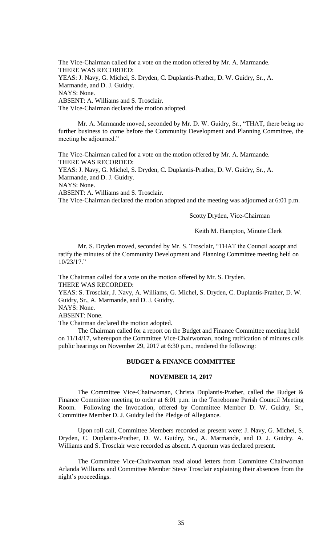The Vice-Chairman called for a vote on the motion offered by Mr. A. Marmande. THERE WAS RECORDED: YEAS: J. Navy, G. Michel, S. Dryden, C. Duplantis-Prather, D. W. Guidry, Sr., A. Marmande, and D. J. Guidry. NAYS: None. ABSENT: A. Williams and S. Trosclair. The Vice-Chairman declared the motion adopted.

Mr. A. Marmande moved, seconded by Mr. D. W. Guidry, Sr., "THAT, there being no further business to come before the Community Development and Planning Committee, the meeting be adjourned."

The Vice-Chairman called for a vote on the motion offered by Mr. A. Marmande. THERE WAS RECORDED: YEAS: J. Navy, G. Michel, S. Dryden, C. Duplantis-Prather, D. W. Guidry, Sr., A. Marmande, and D. J. Guidry. NAYS: None. ABSENT: A. Williams and S. Trosclair.

The Vice-Chairman declared the motion adopted and the meeting was adjourned at 6:01 p.m.

Scotty Dryden, Vice-Chairman

Keith M. Hampton, Minute Clerk

Mr. S. Dryden moved, seconded by Mr. S. Trosclair, "THAT the Council accept and ratify the minutes of the Community Development and Planning Committee meeting held on 10/23/17."

The Chairman called for a vote on the motion offered by Mr. S. Dryden. THERE WAS RECORDED:

YEAS: S. Trosclair, J. Navy, A. Williams, G. Michel, S. Dryden, C. Duplantis-Prather, D. W. Guidry, Sr., A. Marmande, and D. J. Guidry.

NAYS: None.

ABSENT: None.

The Chairman declared the motion adopted.

The Chairman called for a report on the Budget and Finance Committee meeting held on 11/14/17, whereupon the Committee Vice-Chairwoman, noting ratification of minutes calls public hearings on November 29, 2017 at 6:30 p.m., rendered the following:

## **BUDGET & FINANCE COMMITTEE**

## **NOVEMBER 14, 2017**

The Committee Vice-Chairwoman, Christa Duplantis-Prather, called the Budget & Finance Committee meeting to order at 6:01 p.m. in the Terrebonne Parish Council Meeting Room. Following the Invocation, offered by Committee Member D. W. Guidry, Sr., Committee Member D. J. Guidry led the Pledge of Allegiance.

Upon roll call, Committee Members recorded as present were: J. Navy, G. Michel, S. Dryden, C. Duplantis-Prather, D. W. Guidry, Sr., A. Marmande, and D. J. Guidry. A. Williams and S. Trosclair were recorded as absent. A quorum was declared present.

The Committee Vice-Chairwoman read aloud letters from Committee Chairwoman Arlanda Williams and Committee Member Steve Trosclair explaining their absences from the night's proceedings.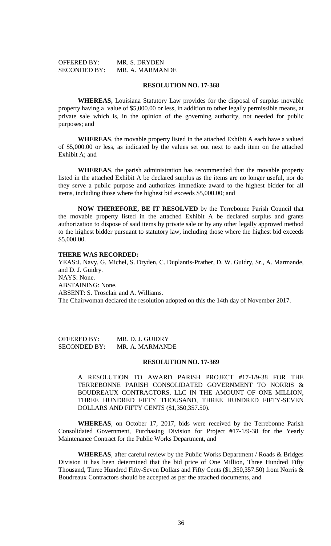| OFFERED BY:         | MR. S. DRYDEN   |
|---------------------|-----------------|
| <b>SECONDED BY:</b> | MR. A. MARMANDE |

## **RESOLUTION NO. 17-368**

**WHEREAS,** Louisiana Statutory Law provides for the disposal of surplus movable property having a value of \$5,000.00 or less, in addition to other legally permissible means, at private sale which is, in the opinion of the governing authority, not needed for public purposes; and

**WHEREAS**, the movable property listed in the attached Exhibit A each have a valued of \$5,000.00 or less, as indicated by the values set out next to each item on the attached Exhibit A; and

**WHEREAS**, the parish administration has recommended that the movable property listed in the attached Exhibit A be declared surplus as the items are no longer useful, nor do they serve a public purpose and authorizes immediate award to the highest bidder for all items, including those where the highest bid exceeds \$5,000.00; and

**NOW THEREFORE, BE IT RESOLVED** by the Terrebonne Parish Council that the movable property listed in the attached Exhibit A be declared surplus and grants authorization to dispose of said items by private sale or by any other legally approved method to the highest bidder pursuant to statutory law, including those where the highest bid exceeds \$5,000.00.

## **THERE WAS RECORDED:**

YEAS:J. Navy, G. Michel, S. Dryden, C. Duplantis-Prather, D. W. Guidry, Sr., A. Marmande, and D. J. Guidry. NAYS: None. ABSTAINING: None. ABSENT: S. Trosclair and A. Williams. The Chairwoman declared the resolution adopted on this the 14th day of November 2017.

OFFERED BY: MR. D. J. GUIDRY SECONDED BY: MR. A. MARMANDE

## **RESOLUTION NO. 17-369**

A RESOLUTION TO AWARD PARISH PROJECT #17-1/9-38 FOR THE TERREBONNE PARISH CONSOLIDATED GOVERNMENT TO NORRIS & BOUDREAUX CONTRACTORS, LLC IN THE AMOUNT OF ONE MILLION, THREE HUNDRED FIFTY THOUSAND, THREE HUNDRED FIFTY-SEVEN DOLLARS AND FIFTY CENTS (\$1,350,357.50).

**WHEREAS**, on October 17, 2017, bids were received by the Terrebonne Parish Consolidated Government, Purchasing Division for Project #17-1/9-38 for the Yearly Maintenance Contract for the Public Works Department, and

**WHEREAS**, after careful review by the Public Works Department / Roads & Bridges Division it has been determined that the bid price of One Million, Three Hundred Fifty Thousand, Three Hundred Fifty-Seven Dollars and Fifty Cents (\$1,350,357.50) from Norris & Boudreaux Contractors should be accepted as per the attached documents, and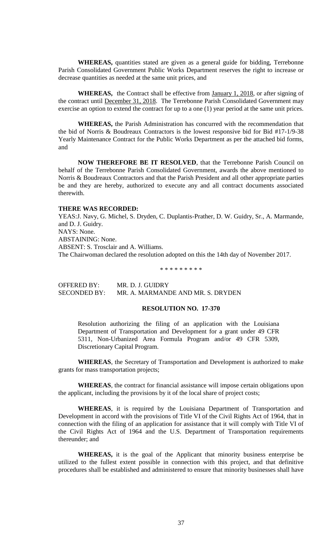**WHEREAS,** quantities stated are given as a general guide for bidding, Terrebonne Parish Consolidated Government Public Works Department reserves the right to increase or decrease quantities as needed at the same unit prices, and

**WHEREAS,** the Contract shall be effective from January 1, 2018, or after signing of the contract until December 31, 2018. The Terrebonne Parish Consolidated Government may exercise an option to extend the contract for up to a one (1) year period at the same unit prices.

**WHEREAS,** the Parish Administration has concurred with the recommendation that the bid of Norris & Boudreaux Contractors is the lowest responsive bid for Bid #17-1/9-38 Yearly Maintenance Contract for the Public Works Department as per the attached bid forms, and

**NOW THEREFORE BE IT RESOLVED**, that the Terrebonne Parish Council on behalf of the Terrebonne Parish Consolidated Government, awards the above mentioned to Norris & Boudreaux Contractors and that the Parish President and all other appropriate parties be and they are hereby, authorized to execute any and all contract documents associated therewith.

### **THERE WAS RECORDED:**

YEAS:J. Navy, G. Michel, S. Dryden, C. Duplantis-Prather, D. W. Guidry, Sr., A. Marmande, and D. J. Guidry. NAYS: None. ABSTAINING: None. ABSENT: S. Trosclair and A. Williams. The Chairwoman declared the resolution adopted on this the 14th day of November 2017.

\* \* \* \* \* \* \* \* \*

OFFERED BY: MR. D. J. GUIDRY SECONDED BY: MR. A. MARMANDE AND MR. S. DRYDEN

# **RESOLUTION NO. 17-370**

Resolution authorizing the filing of an application with the Louisiana Department of Transportation and Development for a grant under 49 CFR 5311, Non-Urbanized Area Formula Program and/or 49 CFR 5309, Discretionary Capital Program.

**WHEREAS**, the Secretary of Transportation and Development is authorized to make grants for mass transportation projects;

**WHEREAS**, the contract for financial assistance will impose certain obligations upon the applicant, including the provisions by it of the local share of project costs;

**WHEREAS**, it is required by the Louisiana Department of Transportation and Development in accord with the provisions of Title VI of the Civil Rights Act of 1964, that in connection with the filing of an application for assistance that it will comply with Title VI of the Civil Rights Act of 1964 and the U.S. Department of Transportation requirements thereunder; and

**WHEREAS,** it is the goal of the Applicant that minority business enterprise be utilized to the fullest extent possible in connection with this project, and that definitive procedures shall be established and administered to ensure that minority businesses shall have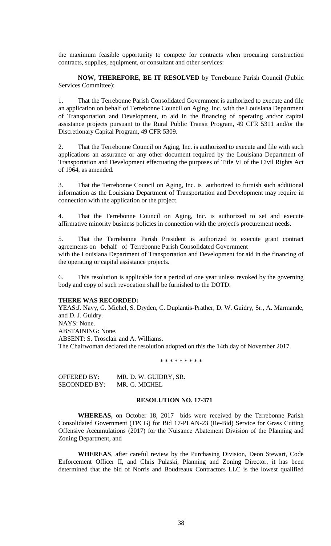the maximum feasible opportunity to compete for contracts when procuring construction contracts, supplies, equipment, or consultant and other services:

**NOW, THEREFORE, BE IT RESOLVED** by Terrebonne Parish Council (Public Services Committee):

1. That the Terrebonne Parish Consolidated Government is authorized to execute and file an application on behalf of Terrebonne Council on Aging, Inc. with the Louisiana Department of Transportation and Development, to aid in the financing of operating and/or capital assistance projects pursuant to the Rural Public Transit Program, 49 CFR 5311 and/or the Discretionary Capital Program, 49 CFR 5309.

2. That the Terrebonne Council on Aging, Inc. is authorized to execute and file with such applications an assurance or any other document required by the Louisiana Department of Transportation and Development effectuating the purposes of Title VI of the Civil Rights Act of 1964, as amended.

3. That the Terrebonne Council on Aging, Inc. is authorized to furnish such additional information as the Louisiana Department of Transportation and Development may require in connection with the application or the project.

4. That the Terrebonne Council on Aging, Inc. is authorized to set and execute affirmative minority business policies in connection with the project's procurement needs.

5. That the Terrebonne Parish President is authorized to execute grant contract agreements on behalf of Terrebonne Parish Consolidated Government with the Louisiana Department of Transportation and Development for aid in the financing of the operating or capital assistance projects.

6. This resolution is applicable for a period of one year unless revoked by the governing body and copy of such revocation shall be furnished to the DOTD.

## **THERE WAS RECORDED:**

YEAS:J. Navy, G. Michel, S. Dryden, C. Duplantis-Prather, D. W. Guidry, Sr., A. Marmande, and D. J. Guidry. NAYS: None. ABSTAINING: None. ABSENT: S. Trosclair and A. Williams. The Chairwoman declared the resolution adopted on this the 14th day of November 2017.

\* \* \* \* \* \* \* \* \*

| <b>OFFERED BY:</b>  | MR. D. W. GUIDRY, SR. |
|---------------------|-----------------------|
| <b>SECONDED BY:</b> | MR. G. MICHEL         |

## **RESOLUTION NO. 17-371**

**WHEREAS,** on October 18, 2017 bids were received by the Terrebonne Parish Consolidated Government (TPCG) for Bid 17-PLAN-23 (Re-Bid) Service for Grass Cutting Offensive Accumulations (2017) for the Nuisance Abatement Division of the Planning and Zoning Department, and

**WHEREAS**, after careful review by the Purchasing Division, Deon Stewart, Code Enforcement Officer II, and Chris Pulaski, Planning and Zoning Director, it has been determined that the bid of Norris and Boudreaux Contractors LLC is the lowest qualified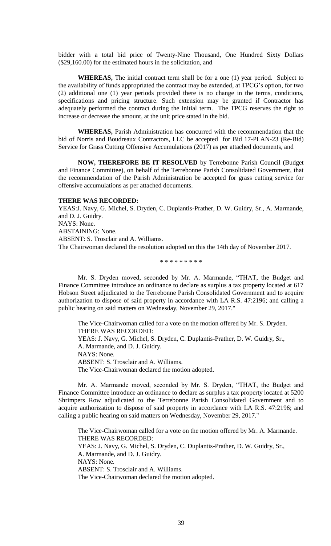bidder with a total bid price of Twenty-Nine Thousand, One Hundred Sixty Dollars (\$29,160.00) for the estimated hours in the solicitation, and

**WHEREAS,** The initial contract term shall be for a one (1) year period. Subject to the availability of funds appropriated the contract may be extended, at TPCG's option, for two (2) additional one (1) year periods provided there is no change in the terms, conditions, specifications and pricing structure. Such extension may be granted if Contractor has adequately performed the contract during the initial term. The TPCG reserves the right to increase or decrease the amount, at the unit price stated in the bid.

**WHEREAS,** Parish Administration has concurred with the recommendation that the bid of Norris and Boudreaux Contractors, LLC be accepted for Bid 17-PLAN-23 (Re-Bid) Service for Grass Cutting Offensive Accumulations (2017) as per attached documents, and

**NOW, THEREFORE BE IT RESOLVED** by Terrebonne Parish Council (Budget and Finance Committee), on behalf of the Terrebonne Parish Consolidated Government, that the recommendation of the Parish Administration be accepted for grass cutting service for offensive accumulations as per attached documents.

## **THERE WAS RECORDED:**

YEAS:J. Navy, G. Michel, S. Dryden, C. Duplantis-Prather, D. W. Guidry, Sr., A. Marmande, and D. J. Guidry. NAYS: None. ABSTAINING: None. ABSENT: S. Trosclair and A. Williams. The Chairwoman declared the resolution adopted on this the 14th day of November 2017.

\* \* \* \* \* \* \* \* \*

Mr. S. Dryden moved, seconded by Mr. A. Marmande, "THAT, the Budget and Finance Committee introduce an ordinance to declare as surplus a tax property located at 617 Hobson Street adjudicated to the Terrebonne Parish Consolidated Government and to acquire authorization to dispose of said property in accordance with LA R.S. 47:2196; and calling a public hearing on said matters on Wednesday, November 29, 2017."

The Vice-Chairwoman called for a vote on the motion offered by Mr. S. Dryden. THERE WAS RECORDED: YEAS: J. Navy, G. Michel, S. Dryden, C. Duplantis-Prather, D. W. Guidry, Sr., A. Marmande, and D. J. Guidry. NAYS: None. ABSENT: S. Trosclair and A. Williams. The Vice-Chairwoman declared the motion adopted.

Mr. A. Marmande moved, seconded by Mr. S. Dryden, "THAT, the Budget and Finance Committee introduce an ordinance to declare as surplus a tax property located at 5200 Shrimpers Row adjudicated to the Terrebonne Parish Consolidated Government and to acquire authorization to dispose of said property in accordance with LA R.S. 47:2196; and calling a public hearing on said matters on Wednesday, November 29, 2017."

The Vice-Chairwoman called for a vote on the motion offered by Mr. A. Marmande. THERE WAS RECORDED: YEAS: J. Navy, G. Michel, S. Dryden, C. Duplantis-Prather, D. W. Guidry, Sr., A. Marmande, and D. J. Guidry. NAYS: None. ABSENT: S. Trosclair and A. Williams. The Vice-Chairwoman declared the motion adopted.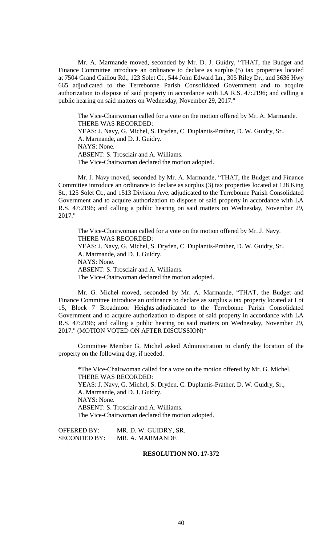Mr. A. Marmande moved, seconded by Mr. D. J. Guidry, "THAT, the Budget and Finance Committee introduce an ordinance to declare as surplus (5) tax properties located at 7504 Grand Caillou Rd., 123 Solet Ct., 544 John Edward Ln., 305 Riley Dr., and 3636 Hwy 665 adjudicated to the Terrebonne Parish Consolidated Government and to acquire authorization to dispose of said property in accordance with LA R.S. 47:2196; and calling a public hearing on said matters on Wednesday, November 29, 2017."

The Vice-Chairwoman called for a vote on the motion offered by Mr. A. Marmande. THERE WAS RECORDED:

YEAS: J. Navy, G. Michel, S. Dryden, C. Duplantis-Prather, D. W. Guidry, Sr., A. Marmande, and D. J. Guidry. NAYS: None. ABSENT: S. Trosclair and A. Williams.

The Vice-Chairwoman declared the motion adopted.

Mr. J. Navy moved, seconded by Mr. A. Marmande, "THAT, the Budget and Finance Committee introduce an ordinance to declare as surplus (3) tax properties located at 128 King St., 125 Solet Ct., and 1513 Division Ave. adjudicated to the Terrebonne Parish Consolidated Government and to acquire authorization to dispose of said property in accordance with LA R.S. 47:2196; and calling a public hearing on said matters on Wednesday, November 29, 2017."

The Vice-Chairwoman called for a vote on the motion offered by Mr. J. Navy. THERE WAS RECORDED: YEAS: J. Navy, G. Michel, S. Dryden, C. Duplantis-Prather, D. W. Guidry, Sr., A. Marmande, and D. J. Guidry. NAYS: None. ABSENT: S. Trosclair and A. Williams. The Vice-Chairwoman declared the motion adopted.

Mr. G. Michel moved, seconded by Mr. A. Marmande, "THAT, the Budget and Finance Committee introduce an ordinance to declare as surplus a tax property located at Lot 15, Block 7 Broadmoor Heights adjudicated to the Terrebonne Parish Consolidated Government and to acquire authorization to dispose of said property in accordance with LA R.S. 47:2196; and calling a public hearing on said matters on Wednesday, November 29, 2017." (MOTION VOTED ON AFTER DISCUSSION)\*

Committee Member G. Michel asked Administration to clarify the location of the property on the following day, if needed.

\*The Vice-Chairwoman called for a vote on the motion offered by Mr. G. Michel. THERE WAS RECORDED: YEAS: J. Navy, G. Michel, S. Dryden, C. Duplantis-Prather, D. W. Guidry, Sr., A. Marmande, and D. J. Guidry. NAYS: None. ABSENT: S. Trosclair and A. Williams. The Vice-Chairwoman declared the motion adopted.

OFFERED BY: MR. D. W. GUIDRY, SR. SECONDED BY: MR. A. MARMANDE

## **RESOLUTION NO. 17-372**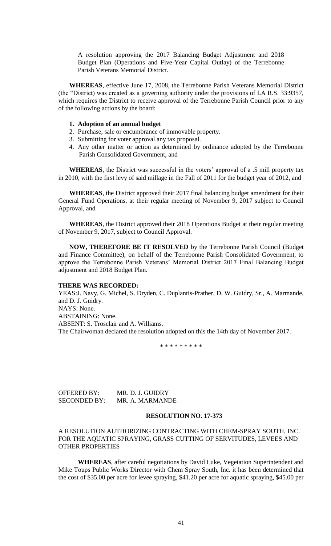A resolution approving the 2017 Balancing Budget Adjustment and 2018 Budget Plan (Operations and Five-Year Capital Outlay) of the Terrebonne Parish Veterans Memorial District.

**WHEREAS**, effective June 17, 2008, the Terrebonne Parish Veterans Memorial District (the "District) was created as a governing authority under the provisions of LA R.S. 33:9357, which requires the District to receive approval of the Terrebonne Parish Council prior to any of the following actions by the board:

## **1. Adoption of an annual budget**

- 2. Purchase, sale or encumbrance of immovable property.
- 3. Submitting for voter approval any tax proposal.
- 4. Any other matter or action as determined by ordinance adopted by the Terrebonne Parish Consolidated Government, and

**WHEREAS**, the District was successful in the voters' approval of a .5 mill property tax in 2010, with the first levy of said millage in the Fall of 2011 for the budget year of 2012, and

**WHEREAS**, the District approved their 2017 final balancing budget amendment for their General Fund Operations, at their regular meeting of November 9, 2017 subject to Council Approval, and

**WHEREAS**, the District approved their 2018 Operations Budget at their regular meeting of November 9, 2017, subject to Council Approval.

**NOW, THEREFORE BE IT RESOLVED** by the Terrebonne Parish Council (Budget and Finance Committee), on behalf of the Terrebonne Parish Consolidated Government, to approve the Terrebonne Parish Veterans' Memorial District 2017 Final Balancing Budget adjustment and 2018 Budget Plan.

#### **THERE WAS RECORDED:**

YEAS:J. Navy, G. Michel, S. Dryden, C. Duplantis-Prather, D. W. Guidry, Sr., A. Marmande, and D. J. Guidry. NAYS: None. ABSTAINING: None. ABSENT: S. Trosclair and A. Williams. The Chairwoman declared the resolution adopted on this the 14th day of November 2017.

\* \* \* \* \* \* \* \* \*

OFFERED BY: MR. D. J. GUIDRY SECONDED BY: MR. A. MARMANDE

# **RESOLUTION NO. 17-373**

## A RESOLUTION AUTHORIZING CONTRACTING WITH CHEM-SPRAY SOUTH, INC. FOR THE AQUATIC SPRAYING, GRASS CUTTING OF SERVITUDES, LEVEES AND OTHER PROPERTIES

**WHEREAS**, after careful negotiations by David Luke, Vegetation Superintendent and Mike Toups Public Works Director with Chem Spray South, Inc. it has been determined that the cost of \$35.00 per acre for levee spraying, \$41.20 per acre for aquatic spraying, \$45.00 per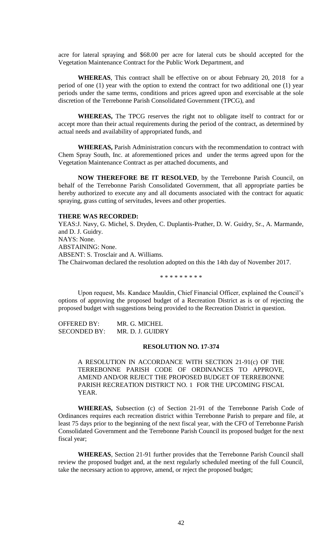acre for lateral spraying and \$68.00 per acre for lateral cuts be should accepted for the Vegetation Maintenance Contract for the Public Work Department, and

**WHEREAS**, This contract shall be effective on or about February 20, 2018 for a period of one (1) year with the option to extend the contract for two additional one (1) year periods under the same terms, conditions and prices agreed upon and exercisable at the sole discretion of the Terrebonne Parish Consolidated Government (TPCG), and

**WHEREAS,** The TPCG reserves the right not to obligate itself to contract for or accept more than their actual requirements during the period of the contract, as determined by actual needs and availability of appropriated funds, and

**WHEREAS,** Parish Administration concurs with the recommendation to contract with Chem Spray South, Inc. at aforementioned prices and under the terms agreed upon for the Vegetation Maintenance Contract as per attached documents, and

**NOW THEREFORE BE IT RESOLVED**, by the Terrebonne Parish Council, on behalf of the Terrebonne Parish Consolidated Government, that all appropriate parties be hereby authorized to execute any and all documents associated with the contract for aquatic spraying, grass cutting of servitudes, levees and other properties.

#### **THERE WAS RECORDED:**

YEAS:J. Navy, G. Michel, S. Dryden, C. Duplantis-Prather, D. W. Guidry, Sr., A. Marmande, and D. J. Guidry. NAYS: None. ABSTAINING: None. ABSENT: S. Trosclair and A. Williams. The Chairwoman declared the resolution adopted on this the 14th day of November 2017.

\* \* \* \* \* \* \* \* \*

Upon request, Ms. Kandace Mauldin, Chief Financial Officer, explained the Council's options of approving the proposed budget of a Recreation District as is or of rejecting the proposed budget with suggestions being provided to the Recreation District in question.

OFFERED BY: MR. G. MICHEL SECONDED BY: MR. D. J. GUIDRY

## **RESOLUTION NO. 17-374**

A RESOLUTION IN ACCORDANCE WITH SECTION 21-91(c) OF THE TERREBONNE PARISH CODE OF ORDINANCES TO APPROVE, AMEND AND/OR REJECT THE PROPOSED BUDGET OF TERREBONNE PARISH RECREATION DISTRICT NO. 1 FOR THE UPCOMING FISCAL YEAR.

**WHEREAS,** Subsection (c) of Section 21-91 of the Terrebonne Parish Code of Ordinances requires each recreation district within Terrebonne Parish to prepare and file, at least 75 days prior to the beginning of the next fiscal year, with the CFO of Terrebonne Parish Consolidated Government and the Terrebonne Parish Council its proposed budget for the next fiscal year;

**WHEREAS**, Section 21-91 further provides that the Terrebonne Parish Council shall review the proposed budget and, at the next regularly scheduled meeting of the full Council, take the necessary action to approve, amend, or reject the proposed budget;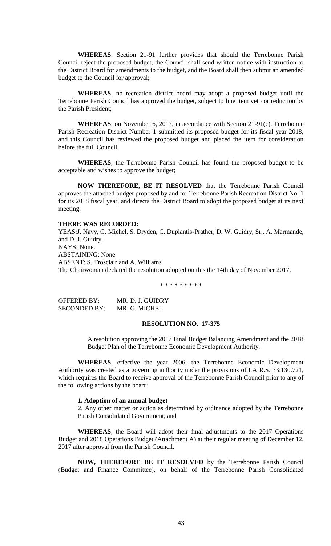**WHEREAS**, Section 21-91 further provides that should the Terrebonne Parish Council reject the proposed budget, the Council shall send written notice with instruction to the District Board for amendments to the budget, and the Board shall then submit an amended budget to the Council for approval;

**WHEREAS**, no recreation district board may adopt a proposed budget until the Terrebonne Parish Council has approved the budget, subject to line item veto or reduction by the Parish President;

**WHEREAS**, on November 6, 2017, in accordance with Section 21-91(c), Terrebonne Parish Recreation District Number 1 submitted its proposed budget for its fiscal year 2018, and this Council has reviewed the proposed budget and placed the item for consideration before the full Council;

**WHEREAS**, the Terrebonne Parish Council has found the proposed budget to be acceptable and wishes to approve the budget;

**NOW THEREFORE, BE IT RESOLVED** that the Terrebonne Parish Council approves the attached budget proposed by and for Terrebonne Parish Recreation District No. 1 for its 2018 fiscal year, and directs the District Board to adopt the proposed budget at its next meeting.

## **THERE WAS RECORDED:**

YEAS:J. Navy, G. Michel, S. Dryden, C. Duplantis-Prather, D. W. Guidry, Sr., A. Marmande, and D. J. Guidry. NAYS: None. ABSTAINING: None. ABSENT: S. Trosclair and A. Williams. The Chairwoman declared the resolution adopted on this the 14th day of November 2017.

\* \* \* \* \* \* \* \* \*

| OFFERED BY:  | MR. D. J. GUIDRY |
|--------------|------------------|
| SECONDED BY: | MR. G. MICHEL    |

## **RESOLUTION NO. 17-375**

A resolution approving the 2017 Final Budget Balancing Amendment and the 2018 Budget Plan of the Terrebonne Economic Development Authority.

**WHEREAS**, effective the year 2006, the Terrebonne Economic Development Authority was created as a governing authority under the provisions of LA R.S. 33:130.721, which requires the Board to receive approval of the Terrebonne Parish Council prior to any of the following actions by the board:

#### **1. Adoption of an annual budget**

2. Any other matter or action as determined by ordinance adopted by the Terrebonne Parish Consolidated Government, and

**WHEREAS**, the Board will adopt their final adjustments to the 2017 Operations Budget and 2018 Operations Budget (Attachment A) at their regular meeting of December 12, 2017 after approval from the Parish Council.

**NOW, THEREFORE BE IT RESOLVED** by the Terrebonne Parish Council (Budget and Finance Committee), on behalf of the Terrebonne Parish Consolidated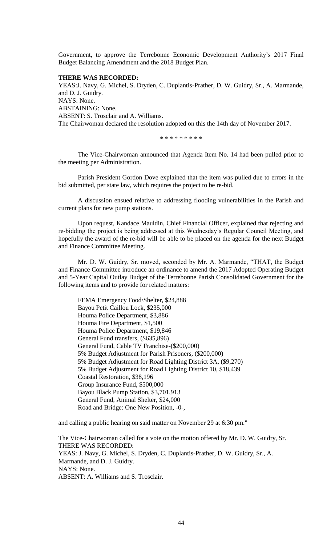Government, to approve the Terrebonne Economic Development Authority's 2017 Final Budget Balancing Amendment and the 2018 Budget Plan.

### **THERE WAS RECORDED:**

YEAS:J. Navy, G. Michel, S. Dryden, C. Duplantis-Prather, D. W. Guidry, Sr., A. Marmande, and D. J. Guidry. NAYS: None. ABSTAINING: None. ABSENT: S. Trosclair and A. Williams. The Chairwoman declared the resolution adopted on this the 14th day of November 2017.

\* \* \* \* \* \* \* \* \*

The Vice-Chairwoman announced that Agenda Item No. 14 had been pulled prior to the meeting per Administration.

Parish President Gordon Dove explained that the item was pulled due to errors in the bid submitted, per state law, which requires the project to be re-bid.

A discussion ensued relative to addressing flooding vulnerabilities in the Parish and current plans for new pump stations.

Upon request, Kandace Mauldin, Chief Financial Officer, explained that rejecting and re-bidding the project is being addressed at this Wednesday's Regular Council Meeting, and hopefully the award of the re-bid will be able to be placed on the agenda for the next Budget and Finance Committee Meeting.

Mr. D. W. Guidry, Sr. moved, seconded by Mr. A. Marmande, "THAT, the Budget and Finance Committee introduce an ordinance to amend the 2017 Adopted Operating Budget and 5-Year Capital Outlay Budget of the Terrebonne Parish Consolidated Government for the following items and to provide for related matters:

FEMA Emergency Food/Shelter, \$24,888 Bayou Petit Caillou Lock, \$235,000 Houma Police Department, \$3,886 Houma Fire Department, \$1,500 Houma Police Department, \$19,846 General Fund transfers, (\$635,896) General Fund, Cable TV Franchise-(\$200,000) 5% Budget Adjustment for Parish Prisoners, (\$200,000) 5% Budget Adjustment for Road Lighting District 3A, (\$9,270) 5% Budget Adjustment for Road Lighting District 10, \$18,439 Coastal Restoration, \$38,196 Group Insurance Fund, \$500,000 Bayou Black Pump Station, \$3,701,913 General Fund, Animal Shelter, \$24,000 Road and Bridge: One New Position, -0-,

and calling a public hearing on said matter on November 29 at 6:30 pm."

The Vice-Chairwoman called for a vote on the motion offered by Mr. D. W. Guidry, Sr. THERE WAS RECORDED: YEAS: J. Navy, G. Michel, S. Dryden, C. Duplantis-Prather, D. W. Guidry, Sr., A. Marmande, and D. J. Guidry. NAYS: None. ABSENT: A. Williams and S. Trosclair.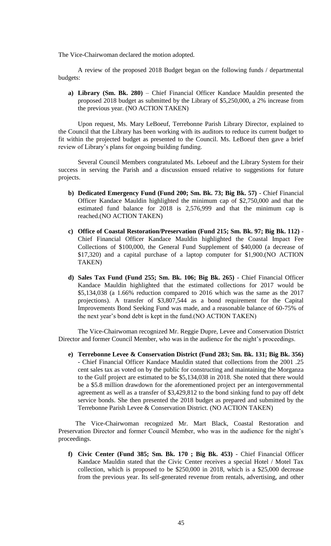The Vice-Chairwoman declared the motion adopted.

A review of the proposed 2018 Budget began on the following funds / departmental budgets:

**a) Library (Sm. Bk. 280)** – Chief Financial Officer Kandace Mauldin presented the proposed 2018 budget as submitted by the Library of \$5,250,000, a 2% increase from the previous year. (NO ACTION TAKEN)

Upon request, Ms. Mary LeBoeuf, Terrebonne Parish Library Director, explained to the Council that the Library has been working with its auditors to reduce its current budget to fit within the projected budget as presented to the Council. Ms. LeBoeuf then gave a brief review of Library's plans for ongoing building funding.

Several Council Members congratulated Ms. Leboeuf and the Library System for their success in serving the Parish and a discussion ensued relative to suggestions for future projects.

- **b) Dedicated Emergency Fund (Fund 200; Sm. Bk. 73; Big Bk. 57)** Chief Financial Officer Kandace Mauldin highlighted the minimum cap of \$2,750,000 and that the estimated fund balance for 2018 is 2,576,999 and that the minimum cap is reached.(NO ACTION TAKEN)
- **c) Office of Coastal Restoration/Preservation (Fund 215; Sm. Bk. 97; Big Bk. 112)** Chief Financial Officer Kandace Mauldin highlighted the Coastal Impact Fee Collections of \$100,000, the General Fund Supplement of \$40,000 (a decrease of \$17,320) and a capital purchase of a laptop computer for \$1,900.(NO ACTION TAKEN)
- **d) Sales Tax Fund (Fund 255; Sm. Bk. 106; Big Bk. 265)** Chief Financial Officer Kandace Mauldin highlighted that the estimated collections for 2017 would be \$5,134,038 (a 1.66% reduction compared to 2016 which was the same as the 2017 projections). A transfer of \$3,807,544 as a bond requirement for the Capital Improvements Bond Seeking Fund was made, and a reasonable balance of 60-75% of the next year's bond debt is kept in the fund.(NO ACTION TAKEN)

The Vice-Chairwoman recognized Mr. Reggie Dupre, Levee and Conservation District Director and former Council Member, who was in the audience for the night's proceedings.

**e) Terrebonne Levee & Conservation District (Fund 283; Sm. Bk. 131; Big Bk. 356)** - Chief Financial Officer Kandace Mauldin stated that collections from the 2001 .25 cent sales tax as voted on by the public for constructing and maintaining the Morganza to the Gulf project are estimated to be \$5,134,038 in 2018. She noted that there would be a \$5.8 million drawdown for the aforementioned project per an intergovernmental agreement as well as a transfer of \$3,429,812 to the bond sinking fund to pay off debt service bonds. She then presented the 2018 budget as prepared and submitted by the Terrebonne Parish Levee & Conservation District. (NO ACTION TAKEN)

The Vice-Chairwoman recognized Mr. Mart Black, Coastal Restoration and Preservation Director and former Council Member, who was in the audience for the night's proceedings.

**f) Civic Center (Fund 385; Sm. Bk. 170 ; Big Bk. 453)** - Chief Financial Officer Kandace Mauldin stated that the Civic Center receives a special Hotel / Motel Tax collection, which is proposed to be \$250,000 in 2018, which is a \$25,000 decrease from the previous year. Its self-generated revenue from rentals, advertising, and other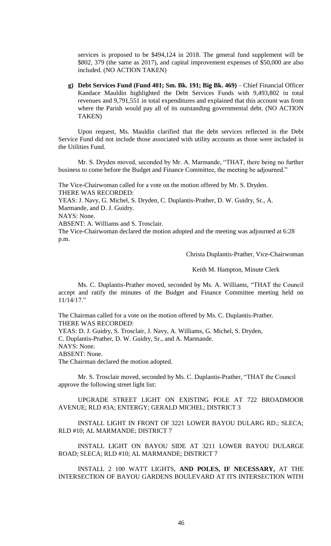services is proposed to be \$494,124 in 2018. The general fund supplement will be \$802, 379 (the same as 2017), and capital improvement expenses of \$50,000 are also included. (NO ACTION TAKEN)

**g) Debt Services Fund (Fund 401; Sm. Bk. 191; Big Bk. 469)** – Chief Financial Officer Kandace Mauldin highlighted the Debt Services Funds with 9,493,802 in total revenues and 9,791,551 in total expenditures and explained that this account was from where the Parish would pay all of its outstanding governmental debt. (NO ACTION TAKEN)

Upon request, Ms. Mauldin clarified that the debt services reflected in the Debt Service Fund did not include those associated with utility accounts as those were included in the Utilities Fund.

Mr. S. Dryden moved, seconded by Mr. A. Marmande, "THAT, there being no further business to come before the Budget and Finance Committee, the meeting be adjourned."

The Vice-Chairwoman called for a vote on the motion offered by Mr. S. Dryden. THERE WAS RECORDED:

YEAS: J. Navy, G. Michel, S. Dryden, C. Duplantis-Prather, D. W. Guidry, Sr., A. Marmande, and D. J. Guidry.

NAYS: None.

ABSENT: A. Williams and S. Trosclair.

The Vice-Chairwoman declared the motion adopted and the meeting was adjourned at 6:28 p.m.

Christa Duplantis-Prather, Vice-Chairwoman

Keith M. Hampton, Minute Clerk

Ms. C. Duplantis-Prather moved, seconded by Ms. A. Williams, "THAT the Council accept and ratify the minutes of the Budget and Finance Committee meeting held on 11/14/17."

The Chairman called for a vote on the motion offered by Ms. C. Duplantis-Prather. THERE WAS RECORDED: YEAS: D. J. Guidry, S. Trosclair, J. Navy, A. Williams, G. Michel, S. Dryden, C. Duplantis-Prather, D. W. Guidry, Sr., and A. Marmande. NAYS: None. ABSENT: None.

The Chairman declared the motion adopted.

Mr. S. Trosclair moved, seconded by Ms. C. Duplantis-Prather, "THAT the Council approve the following street light list:

UPGRADE STREET LIGHT ON EXISTING POLE AT 722 BROADMOOR AVENUE; RLD #3A; ENTERGY; GERALD MICHEL; DISTRICT 3

INSTALL LIGHT IN FRONT OF 3221 LOWER BAYOU DULARG RD.; SLECA; RLD #10; AL MARMANDE; DISTRICT 7

INSTALL LIGHT ON BAYOU SIDE AT 3211 LOWER BAYOU DULARGE ROAD; SLECA; RLD #10; AL MARMANDE; DISTRICT 7

INSTALL 2 100 WATT LIGHTS, **AND POLES, IF NECESSARY,** AT THE INTERSECTION OF BAYOU GARDENS BOULEVARD AT ITS INTERSECTION WITH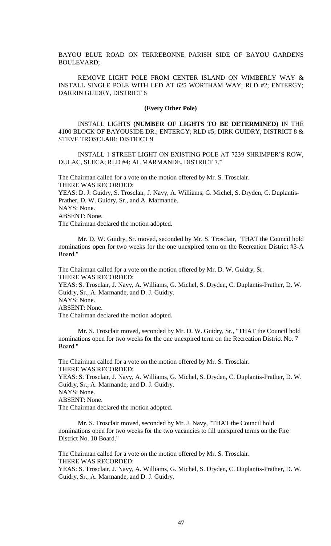BAYOU BLUE ROAD ON TERREBONNE PARISH SIDE OF BAYOU GARDENS BOULEVARD;

REMOVE LIGHT POLE FROM CENTER ISLAND ON WIMBERLY WAY & INSTALL SINGLE POLE WITH LED AT 625 WORTHAM WAY; RLD #2; ENTERGY; DARRIN GUIDRY, DISTRICT 6

#### **(Every Other Pole)**

INSTALL LIGHTS **(NUMBER OF LIGHTS TO BE DETERMINED)** IN THE 4100 BLOCK OF BAYOUSIDE DR.; ENTERGY; RLD #5; DIRK GUIDRY, DISTRICT 8 & STEVE TROSCLAIR; DISTRICT 9

INSTALL 1 STREET LIGHT ON EXISTING POLE AT 7239 SHRIMPER'S ROW, DULAC, SLECA; RLD #4; AL MARMANDE, DISTRICT 7."

The Chairman called for a vote on the motion offered by Mr. S. Trosclair. THERE WAS RECORDED: YEAS: D. J. Guidry, S. Trosclair, J. Navy, A. Williams, G. Michel, S. Dryden, C. Duplantis-Prather, D. W. Guidry, Sr., and A. Marmande. NAYS: None. ABSENT: None.

The Chairman declared the motion adopted.

Mr. D. W. Guidry, Sr. moved, seconded by Mr. S. Trosclair, "THAT the Council hold nominations open for two weeks for the one unexpired term on the Recreation District #3-A Board."

The Chairman called for a vote on the motion offered by Mr. D. W. Guidry, Sr. THERE WAS RECORDED:

YEAS: S. Trosclair, J. Navy, A. Williams, G. Michel, S. Dryden, C. Duplantis-Prather, D. W. Guidry, Sr., A. Marmande, and D. J. Guidry.

NAYS: None. ABSENT: None.

The Chairman declared the motion adopted.

Mr. S. Trosclair moved, seconded by Mr. D. W. Guidry, Sr., "THAT the Council hold nominations open for two weeks for the one unexpired term on the Recreation District No. 7 Board."

The Chairman called for a vote on the motion offered by Mr. S. Trosclair. THERE WAS RECORDED:

YEAS: S. Trosclair, J. Navy, A. Williams, G. Michel, S. Dryden, C. Duplantis-Prather, D. W. Guidry, Sr., A. Marmande, and D. J. Guidry.

NAYS: None.

ABSENT: None.

The Chairman declared the motion adopted.

Mr. S. Trosclair moved, seconded by Mr. J. Navy, "THAT the Council hold nominations open for two weeks for the two vacancies to fill unexpired terms on the Fire District No. 10 Board."

The Chairman called for a vote on the motion offered by Mr. S. Trosclair. THERE WAS RECORDED:

YEAS: S. Trosclair, J. Navy, A. Williams, G. Michel, S. Dryden, C. Duplantis-Prather, D. W. Guidry, Sr., A. Marmande, and D. J. Guidry.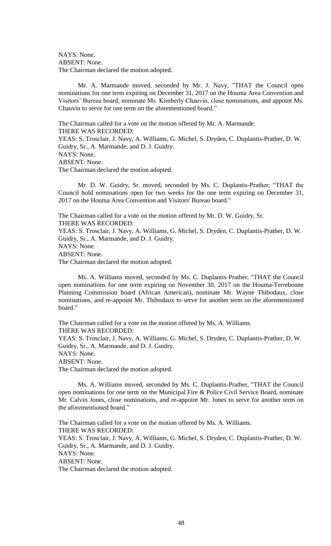NAYS: None. ABSENT: None. The Chairman declared the motion adopted.

Mr. A. Marmande moved, seconded by Mr. J. Navy, "THAT the Council open nominations for one term expiring on December 31, 2017 on the Houma Area Convention and Visitors' Bureau board, nominate Ms. Kimberly Chauvin, close nominations, and appoint Ms. Chauvin to serve for one term on the aforementioned board."

The Chairman called for a vote on the motion offered by Mr. A. Marmande. THERE WAS RECORDED: YEAS: S. Trosclair, J. Navy, A. Williams, G. Michel, S. Dryden, C. Duplantis-Prather, D. W. Guidry, Sr., A. Marmande, and D. J. Guidry. NAYS: None. ABSENT: None. The Chairman declared the motion adopted.

Mr. D. W. Guidry, Sr. moved, seconded by Ms. C. Duplantis-Prather, "THAT the Council hold nominations open for two weeks for the one term expiring on December 31, 2017 on the Houma Area Convention and Visitors' Bureau board."

The Chairman called for a vote on the motion offered by Mr. D. W. Guidry, Sr. THERE WAS RECORDED: YEAS: S. Trosclair, J. Navy, A. Williams, G. Michel, S. Dryden, C. Duplantis-Prather, D. W. Guidry, Sr., A. Marmande, and D. J. Guidry. NAYS: None. ABSENT: None. The Chairman declared the motion adopted.

Ms. A. Williams moved, seconded by Ms. C. Duplantis-Prather, "THAT the Council open nominations for one term expiring on November 30, 2017 on the Houma-Terrebonne Planning Commission board (African American), nominate Mr. Wayne Thibodaux, close nominations, and re-appoint Mr. Thibodaux to serve for another term on the aforementioned board."

The Chairman called for a vote on the motion offered by Ms. A. Williams. THERE WAS RECORDED: YEAS: S. Trosclair, J. Navy, A. Williams, G. Michel, S. Dryden, C. Duplantis-Prather, D. W. Guidry, Sr., A. Marmande, and D. J. Guidry. NAYS: None. ABSENT: None. The Chairman declared the motion adopted.

Ms. A. Williams moved, seconded by Ms. C. Duplantis-Prather, "THAT the Council open nominations for one term on the Municipal Fire & Police Civil Service Board, nominate Mr. Calvin Jones, close nominations, and re-appoint Mr. Jones to serve for another term on the aforementioned board."

The Chairman called for a vote on the motion offered by Ms. A. Williams. THERE WAS RECORDED: YEAS: S. Trosclair, J. Navy, A. Williams, G. Michel, S. Dryden, C. Duplantis-Prather, D. W. Guidry, Sr., A. Marmande, and D. J. Guidry. NAYS: None. ABSENT: None. The Chairman declared the motion adopted.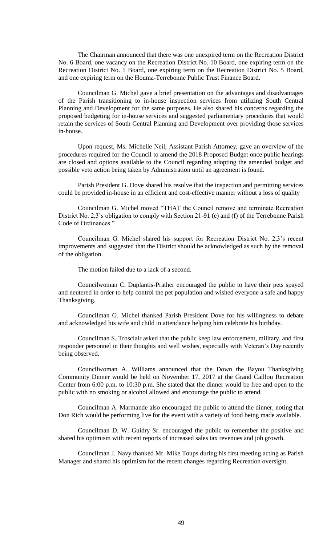The Chairman announced that there was one unexpired term on the Recreation District No. 6 Board, one vacancy on the Recreation District No. 10 Board, one expiring term on the Recreation District No. 1 Board, one expiring term on the Recreation District No. 5 Board, and one expiring term on the Houma-Terrebonne Public Trust Finance Board.

Councilman G. Michel gave a brief presentation on the advantages and disadvantages of the Parish transitioning to in-house inspection services from utilizing South Central Planning and Development for the same purposes. He also shared his concerns regarding the proposed budgeting for in-house services and suggested parliamentary procedures that would retain the services of South Central Planning and Development over providing those services in-house.

Upon request, Ms. Michelle Neil, Assistant Parish Attorney, gave an overview of the procedures required for the Council to amend the 2018 Proposed Budget once public hearings are closed and options available to the Council regarding adopting the amended budget and possible veto action being taken by Administration until an agreement is found.

Parish President G. Dove shared his resolve that the inspection and permitting services could be provided in-house in an efficient and cost-effective manner without a loss of quality

Councilman G. Michel moved "THAT the Council remove and terminate Recreation District No. 2,3's obligation to comply with Section 21-91 (e) and (f) of the Terrebonne Parish Code of Ordinances."

Councilman G. Michel shared his support for Recreation District No. 2,3's recent improvements and suggested that the District should be acknowledged as such by the removal of the obligation.

The motion failed due to a lack of a second.

Councilwoman C. Duplantis-Prather encouraged the public to have their pets spayed and neutered in order to help control the pet population and wished everyone a safe and happy Thanksgiving.

Councilman G. Michel thanked Parish President Dove for his willingness to debate and acknowledged his wife and child in attendance helping him celebrate his birthday.

Councilman S. Trosclair asked that the public keep law enforcement, military, and first responder personnel in their thoughts and well wishes, especially with Veteran's Day recently being observed.

Councilwoman A. Williams announced that the Down the Bayou Thanksgiving Community Dinner would be held on November 17, 2017 at the Grand Caillou Recreation Center from 6:00 p.m. to 10:30 p.m. She stated that the dinner would be free and open to the public with no smoking or alcohol allowed and encourage the public to attend.

Councilman A. Marmande also encouraged the public to attend the dinner, noting that Don Rich would be performing live for the event with a variety of food being made available.

Councilman D. W. Guidry Sr. encouraged the public to remember the positive and shared his optimism with recent reports of increased sales tax revenues and job growth.

Councilman J. Navy thanked Mr. Mike Toups during his first meeting acting as Parish Manager and shared his optimism for the recent changes regarding Recreation oversight.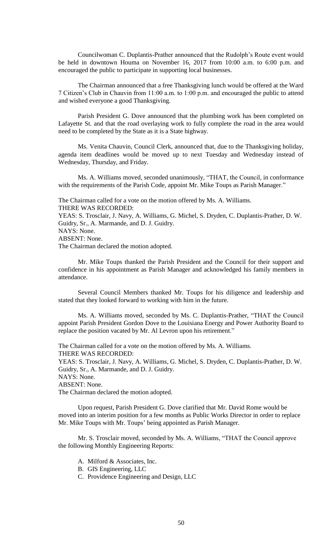Councilwoman C. Duplantis-Prather announced that the Rudolph's Route event would be held in downtown Houma on November 16, 2017 from 10:00 a.m. to 6:00 p.m. and encouraged the public to participate in supporting local businesses.

The Chairman announced that a free Thanksgiving lunch would be offered at the Ward 7 Citizen's Club in Chauvin from 11:00 a.m. to 1:00 p.m. and encouraged the public to attend and wished everyone a good Thanksgiving.

Parish President G. Dove announced that the plumbing work has been completed on Lafayette St. and that the road overlaying work to fully complete the road in the area would need to be completed by the State as it is a State highway.

Ms. Venita Chauvin, Council Clerk, announced that, due to the Thanksgiving holiday, agenda item deadlines would be moved up to next Tuesday and Wednesday instead of Wednesday, Thursday, and Friday.

Ms. A. Williams moved, seconded unanimously, "THAT, the Council, in conformance with the requirements of the Parish Code, appoint Mr. Mike Toups as Parish Manager."

The Chairman called for a vote on the motion offered by Ms. A. Williams.

THERE WAS RECORDED:

YEAS: S. Trosclair, J. Navy, A. Williams, G. Michel, S. Dryden, C. Duplantis-Prather, D. W. Guidry, Sr., A. Marmande, and D. J. Guidry.

NAYS: None. ABSENT: None.

The Chairman declared the motion adopted.

Mr. Mike Toups thanked the Parish President and the Council for their support and confidence in his appointment as Parish Manager and acknowledged his family members in attendance.

Several Council Members thanked Mr. Toups for his diligence and leadership and stated that they looked forward to working with him in the future.

Ms. A. Williams moved, seconded by Ms. C. Duplantis-Prather, "THAT the Council appoint Parish President Gordon Dove to the Louisiana Energy and Power Authority Board to replace the position vacated by Mr. Al Levron upon his retirement."

The Chairman called for a vote on the motion offered by Ms. A. Williams. THERE WAS RECORDED:

YEAS: S. Trosclair, J. Navy, A. Williams, G. Michel, S. Dryden, C. Duplantis-Prather, D. W. Guidry, Sr., A. Marmande, and D. J. Guidry.

NAYS: None.

ABSENT: None.

The Chairman declared the motion adopted.

Upon request, Parish President G. Dove clarified that Mr. David Rome would be moved into an interim position for a few months as Public Works Director in order to replace Mr. Mike Toups with Mr. Toups' being appointed as Parish Manager.

Mr. S. Trosclair moved, seconded by Ms. A. Williams, "THAT the Council approve the following Monthly Engineering Reports:

- A. Milford & Associates, Inc.
- B. GIS Engineering, LLC
- C. Providence Engineering and Design, LLC